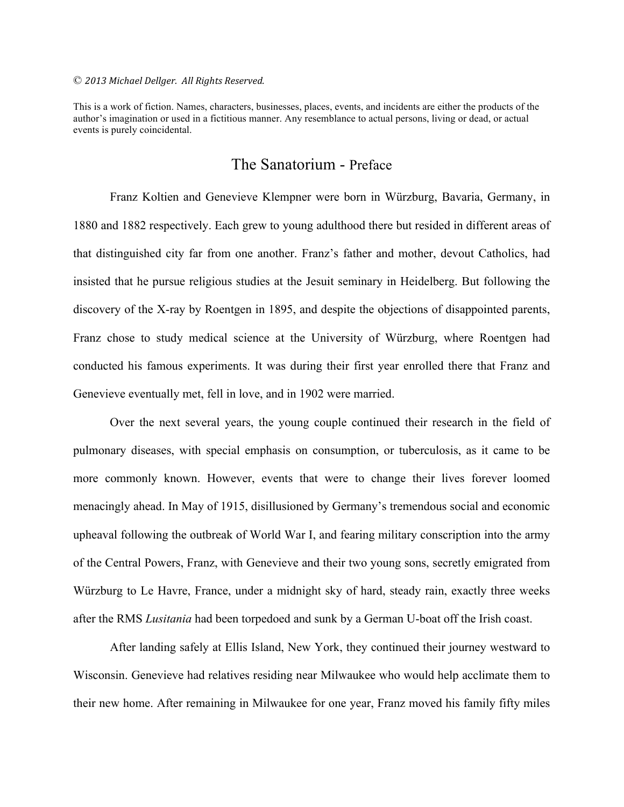#### © *2013 Michael Dellger. All Rights Reserved.*

This is a work of fiction. Names, characters, businesses, places, events, and incidents are either the products of the author's imagination or used in a fictitious manner. Any resemblance to actual persons, living or dead, or actual events is purely coincidental.

# The Sanatorium - Preface

Franz Koltien and Genevieve Klempner were born in Würzburg, Bavaria, Germany, in 1880 and 1882 respectively. Each grew to young adulthood there but resided in different areas of that distinguished city far from one another. Franz's father and mother, devout Catholics, had insisted that he pursue religious studies at the Jesuit seminary in Heidelberg. But following the discovery of the X-ray by Roentgen in 1895, and despite the objections of disappointed parents, Franz chose to study medical science at the University of Würzburg, where Roentgen had conducted his famous experiments. It was during their first year enrolled there that Franz and Genevieve eventually met, fell in love, and in 1902 were married.

Over the next several years, the young couple continued their research in the field of pulmonary diseases, with special emphasis on consumption, or tuberculosis, as it came to be more commonly known. However, events that were to change their lives forever loomed menacingly ahead. In May of 1915, disillusioned by Germany's tremendous social and economic upheaval following the outbreak of World War I, and fearing military conscription into the army of the Central Powers, Franz, with Genevieve and their two young sons, secretly emigrated from Würzburg to Le Havre, France, under a midnight sky of hard, steady rain, exactly three weeks after the RMS *Lusitania* had been torpedoed and sunk by a German U-boat off the Irish coast.

After landing safely at Ellis Island, New York, they continued their journey westward to Wisconsin. Genevieve had relatives residing near Milwaukee who would help acclimate them to their new home. After remaining in Milwaukee for one year, Franz moved his family fifty miles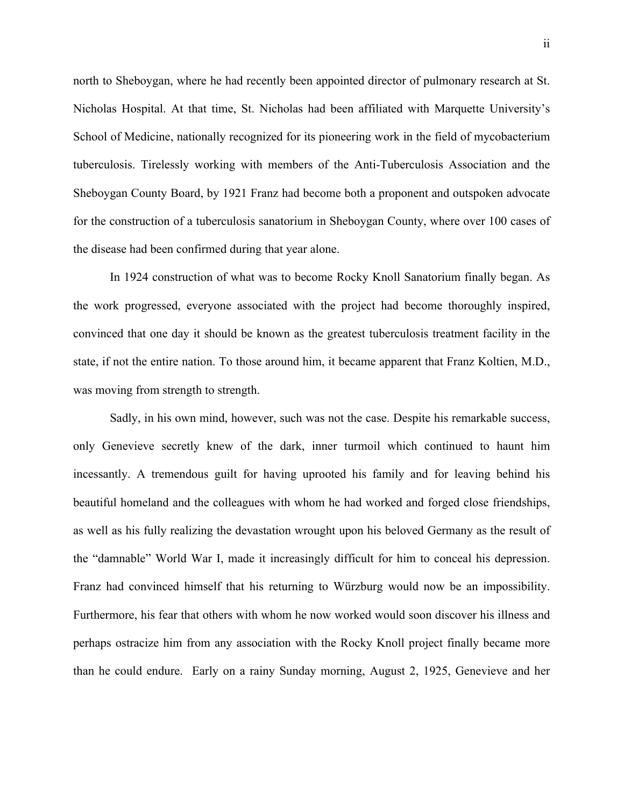north to Sheboygan, where he had recently been appointed director of pulmonary research at St. Nicholas Hospital. At that time, St. Nicholas had been affiliated with Marquette University's School of Medicine, nationally recognized for its pioneering work in the field of mycobacterium tuberculosis. Tirelessly working with members of the Anti-Tuberculosis Association and the Sheboygan County Board, by 1921 Franz had become both a proponent and outspoken advocate for the construction of a tuberculosis sanatorium in Sheboygan County, where over 100 cases of the disease had been confirmed during that year alone.

In 1924 construction of what was to become Rocky Knoll Sanatorium finally began. As the work progressed, everyone associated with the project had become thoroughly inspired, convinced that one day it should be known as the greatest tuberculosis treatment facility in the state, if not the entire nation. To those around him, it became apparent that Franz Koltien, M.D., was moving from strength to strength.

Sadly, in his own mind, however, such was not the case. Despite his remarkable success, only Genevieve secretly knew of the dark, inner turmoil which continued to haunt him incessantly. A tremendous guilt for having uprooted his family and for leaving behind his beautiful homeland and the colleagues with whom he had worked and forged close friendships, as well as his fully realizing the devastation wrought upon his beloved Germany as the result of the "damnable" World War I, made it increasingly difficult for him to conceal his depression. Franz had convinced himself that his returning to Würzburg would now be an impossibility. Furthermore, his fear that others with whom he now worked would soon discover his illness and perhaps ostracize him from any association with the Rocky Knoll project finally became more than he could endure. Early on a rainy Sunday morning, August 2, 1925, Genevieve and her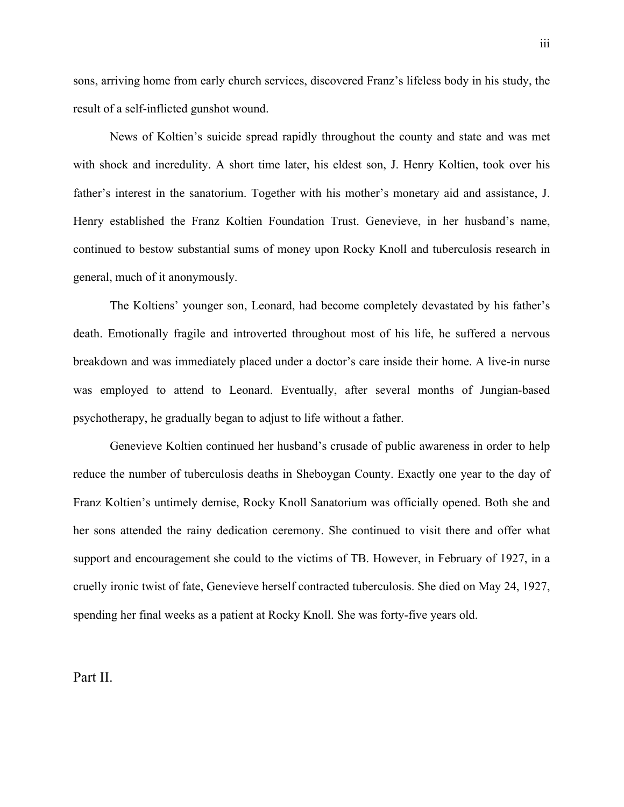sons, arriving home from early church services, discovered Franz's lifeless body in his study, the result of a self-inflicted gunshot wound.

News of Koltien's suicide spread rapidly throughout the county and state and was met with shock and incredulity. A short time later, his eldest son, J. Henry Koltien, took over his father's interest in the sanatorium. Together with his mother's monetary aid and assistance, J. Henry established the Franz Koltien Foundation Trust. Genevieve, in her husband's name, continued to bestow substantial sums of money upon Rocky Knoll and tuberculosis research in general, much of it anonymously.

The Koltiens' younger son, Leonard, had become completely devastated by his father's death. Emotionally fragile and introverted throughout most of his life, he suffered a nervous breakdown and was immediately placed under a doctor's care inside their home. A live-in nurse was employed to attend to Leonard. Eventually, after several months of Jungian-based psychotherapy, he gradually began to adjust to life without a father.

Genevieve Koltien continued her husband's crusade of public awareness in order to help reduce the number of tuberculosis deaths in Sheboygan County. Exactly one year to the day of Franz Koltien's untimely demise, Rocky Knoll Sanatorium was officially opened. Both she and her sons attended the rainy dedication ceremony. She continued to visit there and offer what support and encouragement she could to the victims of TB. However, in February of 1927, in a cruelly ironic twist of fate, Genevieve herself contracted tuberculosis. She died on May 24, 1927, spending her final weeks as a patient at Rocky Knoll. She was forty-five years old.

Part II.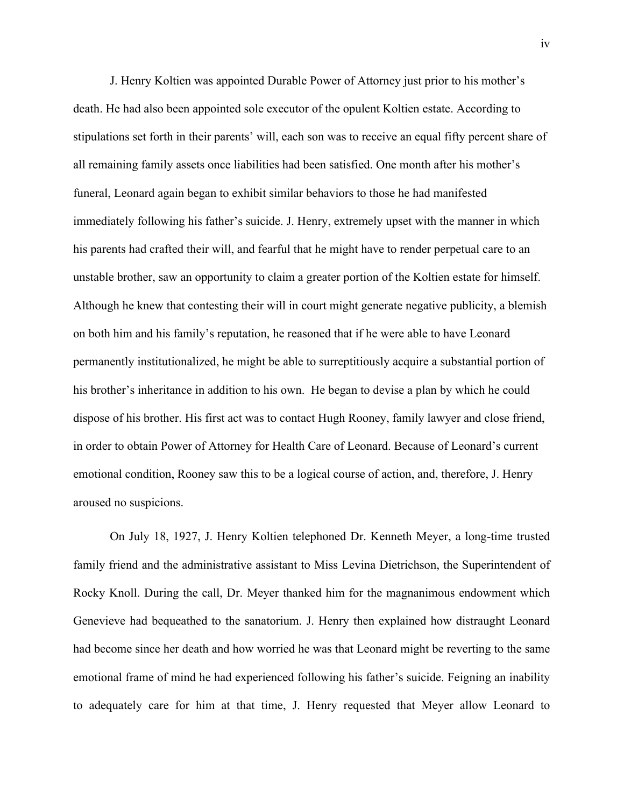J. Henry Koltien was appointed Durable Power of Attorney just prior to his mother's death. He had also been appointed sole executor of the opulent Koltien estate. According to stipulations set forth in their parents' will, each son was to receive an equal fifty percent share of all remaining family assets once liabilities had been satisfied. One month after his mother's funeral, Leonard again began to exhibit similar behaviors to those he had manifested immediately following his father's suicide. J. Henry, extremely upset with the manner in which his parents had crafted their will, and fearful that he might have to render perpetual care to an unstable brother, saw an opportunity to claim a greater portion of the Koltien estate for himself. Although he knew that contesting their will in court might generate negative publicity, a blemish on both him and his family's reputation, he reasoned that if he were able to have Leonard permanently institutionalized, he might be able to surreptitiously acquire a substantial portion of his brother's inheritance in addition to his own. He began to devise a plan by which he could dispose of his brother. His first act was to contact Hugh Rooney, family lawyer and close friend, in order to obtain Power of Attorney for Health Care of Leonard. Because of Leonard's current emotional condition, Rooney saw this to be a logical course of action, and, therefore, J. Henry aroused no suspicions.

On July 18, 1927, J. Henry Koltien telephoned Dr. Kenneth Meyer, a long-time trusted family friend and the administrative assistant to Miss Levina Dietrichson, the Superintendent of Rocky Knoll. During the call, Dr. Meyer thanked him for the magnanimous endowment which Genevieve had bequeathed to the sanatorium. J. Henry then explained how distraught Leonard had become since her death and how worried he was that Leonard might be reverting to the same emotional frame of mind he had experienced following his father's suicide. Feigning an inability to adequately care for him at that time, J. Henry requested that Meyer allow Leonard to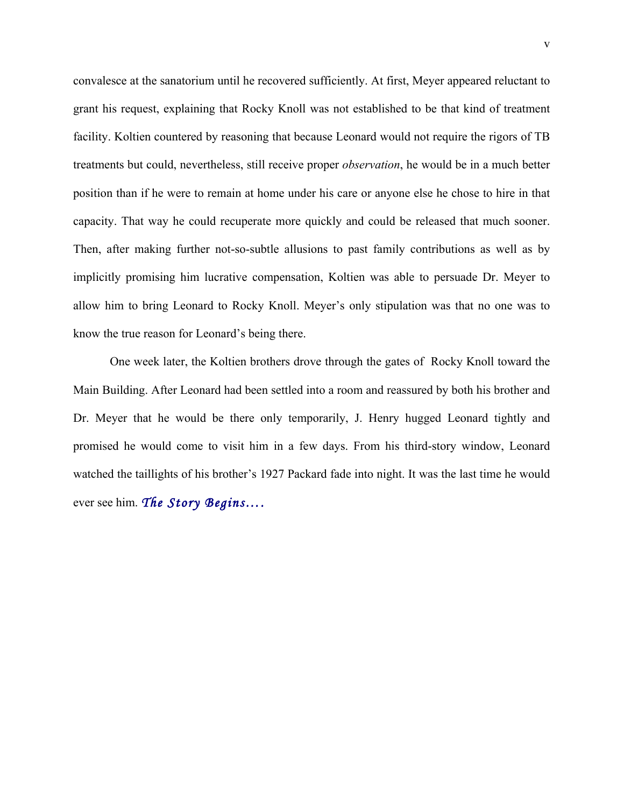convalesce at the sanatorium until he recovered sufficiently. At first, Meyer appeared reluctant to grant his request, explaining that Rocky Knoll was not established to be that kind of treatment facility. Koltien countered by reasoning that because Leonard would not require the rigors of TB treatments but could, nevertheless, still receive proper *observation*, he would be in a much better position than if he were to remain at home under his care or anyone else he chose to hire in that capacity. That way he could recuperate more quickly and could be released that much sooner. Then, after making further not-so-subtle allusions to past family contributions as well as by implicitly promising him lucrative compensation, Koltien was able to persuade Dr. Meyer to allow him to bring Leonard to Rocky Knoll. Meyer's only stipulation was that no one was to know the true reason for Leonard's being there.

One week later, the Koltien brothers drove through the gates of Rocky Knoll toward the Main Building. After Leonard had been settled into a room and reassured by both his brother and Dr. Meyer that he would be there only temporarily, J. Henry hugged Leonard tightly and promised he would come to visit him in a few days. From his third-story window, Leonard watched the taillights of his brother's 1927 Packard fade into night. It was the last time he would ever see him. *The Story Begins….*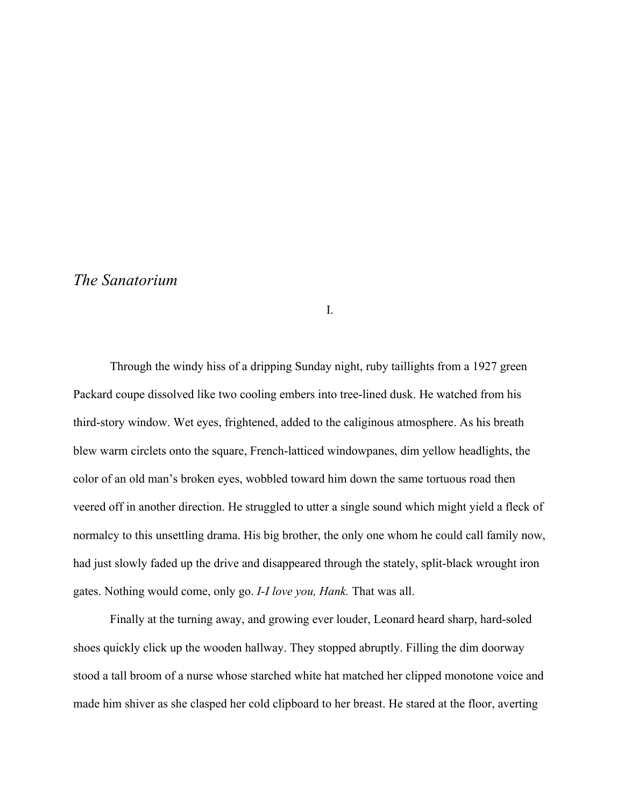# *The Sanatorium*

I.

Through the windy hiss of a dripping Sunday night, ruby taillights from a 1927 green Packard coupe dissolved like two cooling embers into tree-lined dusk. He watched from his third-story window. Wet eyes, frightened, added to the caliginous atmosphere. As his breath blew warm circlets onto the square, French-latticed windowpanes, dim yellow headlights, the color of an old man's broken eyes, wobbled toward him down the same tortuous road then veered off in another direction. He struggled to utter a single sound which might yield a fleck of normalcy to this unsettling drama. His big brother, the only one whom he could call family now, had just slowly faded up the drive and disappeared through the stately, split-black wrought iron gates. Nothing would come, only go. *I-I love you, Hank.* That was all.

Finally at the turning away, and growing ever louder, Leonard heard sharp, hard-soled shoes quickly click up the wooden hallway. They stopped abruptly. Filling the dim doorway stood a tall broom of a nurse whose starched white hat matched her clipped monotone voice and made him shiver as she clasped her cold clipboard to her breast. He stared at the floor, averting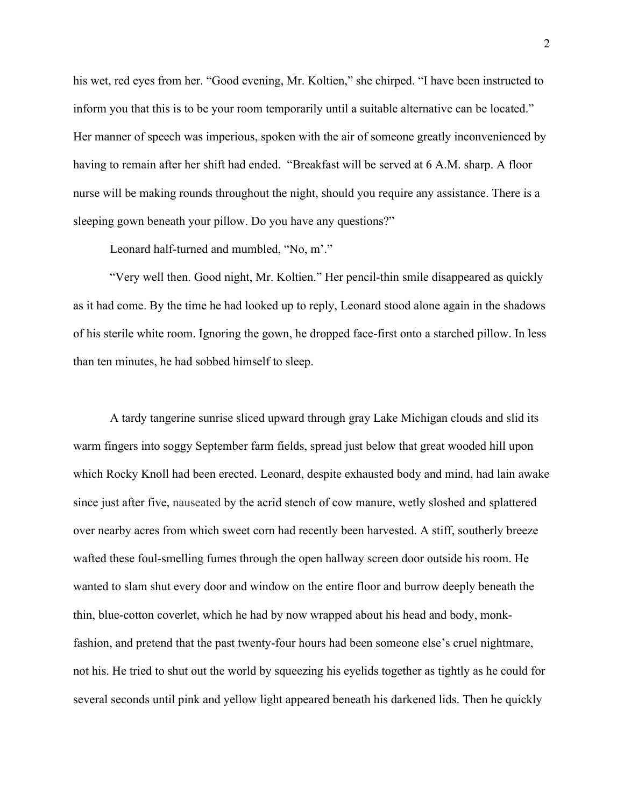his wet, red eyes from her. "Good evening, Mr. Koltien," she chirped. "I have been instructed to inform you that this is to be your room temporarily until a suitable alternative can be located." Her manner of speech was imperious, spoken with the air of someone greatly inconvenienced by having to remain after her shift had ended. "Breakfast will be served at 6 A.M. sharp. A floor nurse will be making rounds throughout the night, should you require any assistance. There is a sleeping gown beneath your pillow. Do you have any questions?"

Leonard half-turned and mumbled, "No, m'."

"Very well then. Good night, Mr. Koltien." Her pencil-thin smile disappeared as quickly as it had come. By the time he had looked up to reply, Leonard stood alone again in the shadows of his sterile white room. Ignoring the gown, he dropped face-first onto a starched pillow. In less than ten minutes, he had sobbed himself to sleep.

A tardy tangerine sunrise sliced upward through gray Lake Michigan clouds and slid its warm fingers into soggy September farm fields, spread just below that great wooded hill upon which Rocky Knoll had been erected. Leonard, despite exhausted body and mind, had lain awake since just after five, nauseated by the acrid stench of cow manure, wetly sloshed and splattered over nearby acres from which sweet corn had recently been harvested. A stiff, southerly breeze wafted these foul-smelling fumes through the open hallway screen door outside his room. He wanted to slam shut every door and window on the entire floor and burrow deeply beneath the thin, blue-cotton coverlet, which he had by now wrapped about his head and body, monkfashion, and pretend that the past twenty-four hours had been someone else's cruel nightmare, not his. He tried to shut out the world by squeezing his eyelids together as tightly as he could for several seconds until pink and yellow light appeared beneath his darkened lids. Then he quickly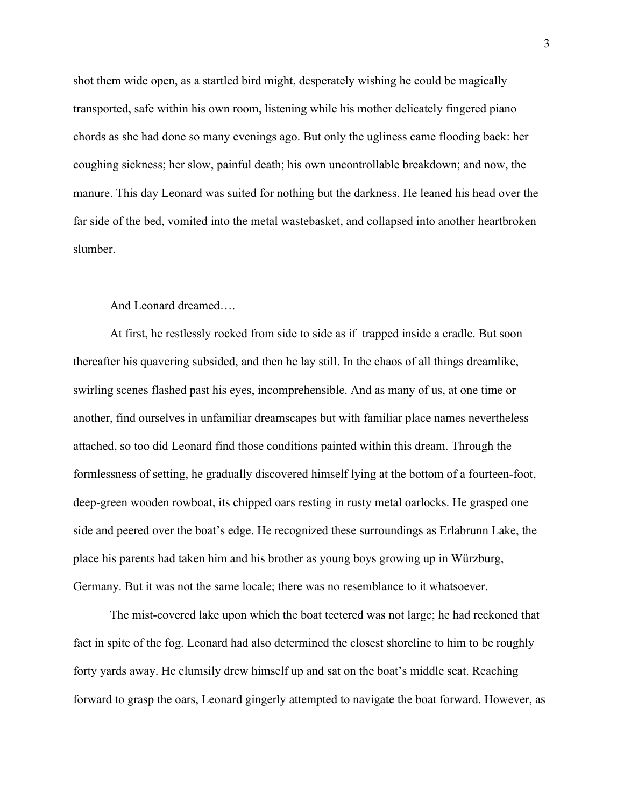shot them wide open, as a startled bird might, desperately wishing he could be magically transported, safe within his own room, listening while his mother delicately fingered piano chords as she had done so many evenings ago. But only the ugliness came flooding back: her coughing sickness; her slow, painful death; his own uncontrollable breakdown; and now, the manure. This day Leonard was suited for nothing but the darkness. He leaned his head over the far side of the bed, vomited into the metal wastebasket, and collapsed into another heartbroken slumber.

# And Leonard dreamed….

At first, he restlessly rocked from side to side as if trapped inside a cradle. But soon thereafter his quavering subsided, and then he lay still. In the chaos of all things dreamlike, swirling scenes flashed past his eyes, incomprehensible. And as many of us, at one time or another, find ourselves in unfamiliar dreamscapes but with familiar place names nevertheless attached, so too did Leonard find those conditions painted within this dream. Through the formlessness of setting, he gradually discovered himself lying at the bottom of a fourteen-foot, deep-green wooden rowboat, its chipped oars resting in rusty metal oarlocks. He grasped one side and peered over the boat's edge. He recognized these surroundings as Erlabrunn Lake, the place his parents had taken him and his brother as young boys growing up in Würzburg, Germany. But it was not the same locale; there was no resemblance to it whatsoever.

The mist-covered lake upon which the boat teetered was not large; he had reckoned that fact in spite of the fog. Leonard had also determined the closest shoreline to him to be roughly forty yards away. He clumsily drew himself up and sat on the boat's middle seat. Reaching forward to grasp the oars, Leonard gingerly attempted to navigate the boat forward. However, as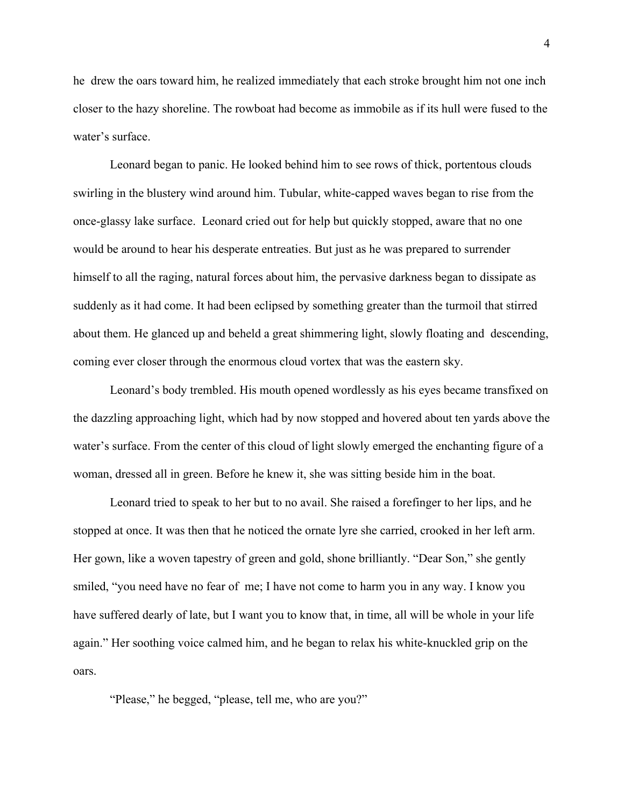he drew the oars toward him, he realized immediately that each stroke brought him not one inch closer to the hazy shoreline. The rowboat had become as immobile as if its hull were fused to the water's surface.

Leonard began to panic. He looked behind him to see rows of thick, portentous clouds swirling in the blustery wind around him. Tubular, white-capped waves began to rise from the once-glassy lake surface. Leonard cried out for help but quickly stopped, aware that no one would be around to hear his desperate entreaties. But just as he was prepared to surrender himself to all the raging, natural forces about him, the pervasive darkness began to dissipate as suddenly as it had come. It had been eclipsed by something greater than the turmoil that stirred about them. He glanced up and beheld a great shimmering light, slowly floating and descending, coming ever closer through the enormous cloud vortex that was the eastern sky.

Leonard's body trembled. His mouth opened wordlessly as his eyes became transfixed on the dazzling approaching light, which had by now stopped and hovered about ten yards above the water's surface. From the center of this cloud of light slowly emerged the enchanting figure of a woman, dressed all in green. Before he knew it, she was sitting beside him in the boat.

Leonard tried to speak to her but to no avail. She raised a forefinger to her lips, and he stopped at once. It was then that he noticed the ornate lyre she carried, crooked in her left arm. Her gown, like a woven tapestry of green and gold, shone brilliantly. "Dear Son," she gently smiled, "you need have no fear of me; I have not come to harm you in any way. I know you have suffered dearly of late, but I want you to know that, in time, all will be whole in your life again." Her soothing voice calmed him, and he began to relax his white-knuckled grip on the oars.

"Please," he begged, "please, tell me, who are you?"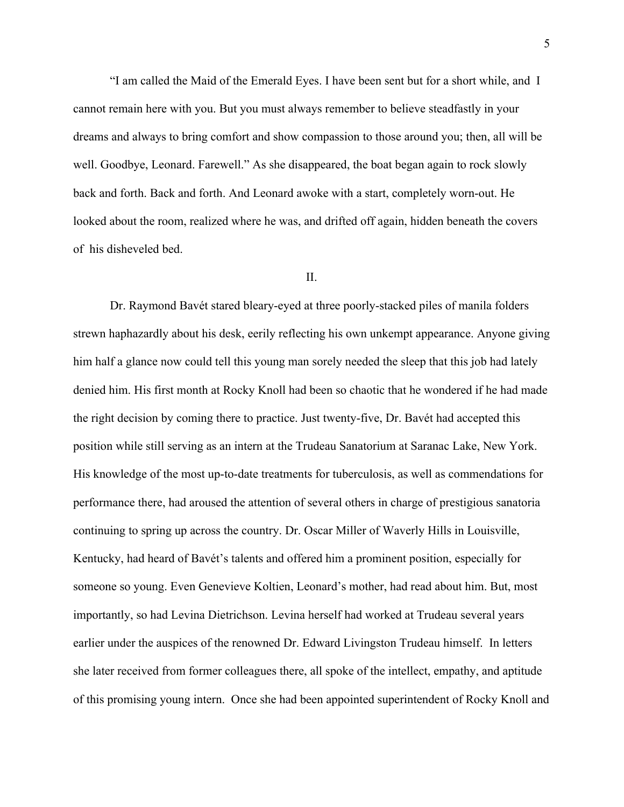"I am called the Maid of the Emerald Eyes. I have been sent but for a short while, and I cannot remain here with you. But you must always remember to believe steadfastly in your dreams and always to bring comfort and show compassion to those around you; then, all will be well. Goodbye, Leonard. Farewell." As she disappeared, the boat began again to rock slowly back and forth. Back and forth. And Leonard awoke with a start, completely worn-out. He looked about the room, realized where he was, and drifted off again, hidden beneath the covers of his disheveled bed.

## $II$ .

Dr. Raymond Bavét stared bleary-eyed at three poorly-stacked piles of manila folders strewn haphazardly about his desk, eerily reflecting his own unkempt appearance. Anyone giving him half a glance now could tell this young man sorely needed the sleep that this job had lately denied him. His first month at Rocky Knoll had been so chaotic that he wondered if he had made the right decision by coming there to practice. Just twenty-five, Dr. Bavét had accepted this position while still serving as an intern at the Trudeau Sanatorium at Saranac Lake, New York. His knowledge of the most up-to-date treatments for tuberculosis, as well as commendations for performance there, had aroused the attention of several others in charge of prestigious sanatoria continuing to spring up across the country. Dr. Oscar Miller of Waverly Hills in Louisville, Kentucky, had heard of Bavét's talents and offered him a prominent position, especially for someone so young. Even Genevieve Koltien, Leonard's mother, had read about him. But, most importantly, so had Levina Dietrichson. Levina herself had worked at Trudeau several years earlier under the auspices of the renowned Dr. Edward Livingston Trudeau himself. In letters she later received from former colleagues there, all spoke of the intellect, empathy, and aptitude of this promising young intern. Once she had been appointed superintendent of Rocky Knoll and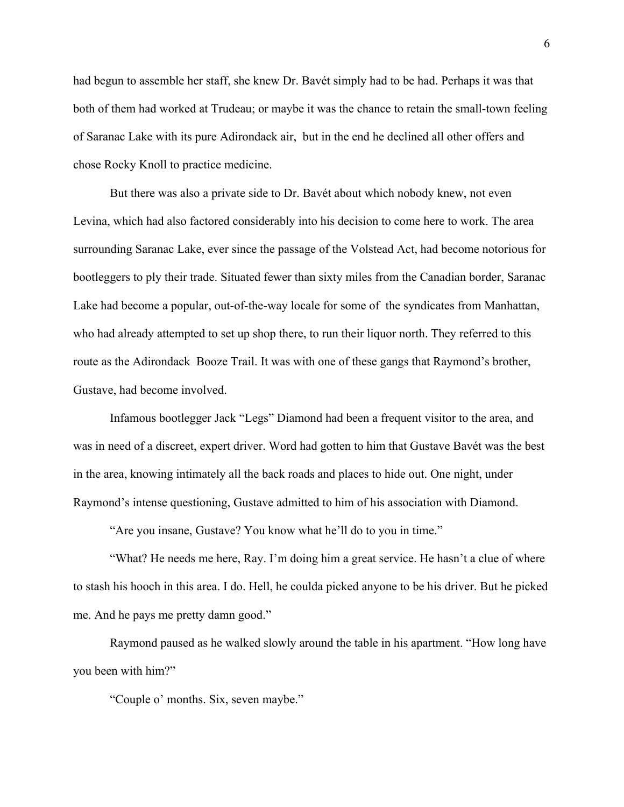had begun to assemble her staff, she knew Dr. Bavét simply had to be had. Perhaps it was that both of them had worked at Trudeau; or maybe it was the chance to retain the small-town feeling of Saranac Lake with its pure Adirondack air, but in the end he declined all other offers and chose Rocky Knoll to practice medicine.

But there was also a private side to Dr. Bavét about which nobody knew, not even Levina, which had also factored considerably into his decision to come here to work. The area surrounding Saranac Lake, ever since the passage of the Volstead Act, had become notorious for bootleggers to ply their trade. Situated fewer than sixty miles from the Canadian border, Saranac Lake had become a popular, out-of-the-way locale for some of the syndicates from Manhattan, who had already attempted to set up shop there, to run their liquor north. They referred to this route as the Adirondack Booze Trail. It was with one of these gangs that Raymond's brother, Gustave, had become involved.

Infamous bootlegger Jack "Legs" Diamond had been a frequent visitor to the area, and was in need of a discreet, expert driver. Word had gotten to him that Gustave Bavét was the best in the area, knowing intimately all the back roads and places to hide out. One night, under Raymond's intense questioning, Gustave admitted to him of his association with Diamond.

"Are you insane, Gustave? You know what he'll do to you in time."

"What? He needs me here, Ray. I'm doing him a great service. He hasn't a clue of where to stash his hooch in this area. I do. Hell, he coulda picked anyone to be his driver. But he picked me. And he pays me pretty damn good."

Raymond paused as he walked slowly around the table in his apartment. "How long have you been with him?"

"Couple o' months. Six, seven maybe."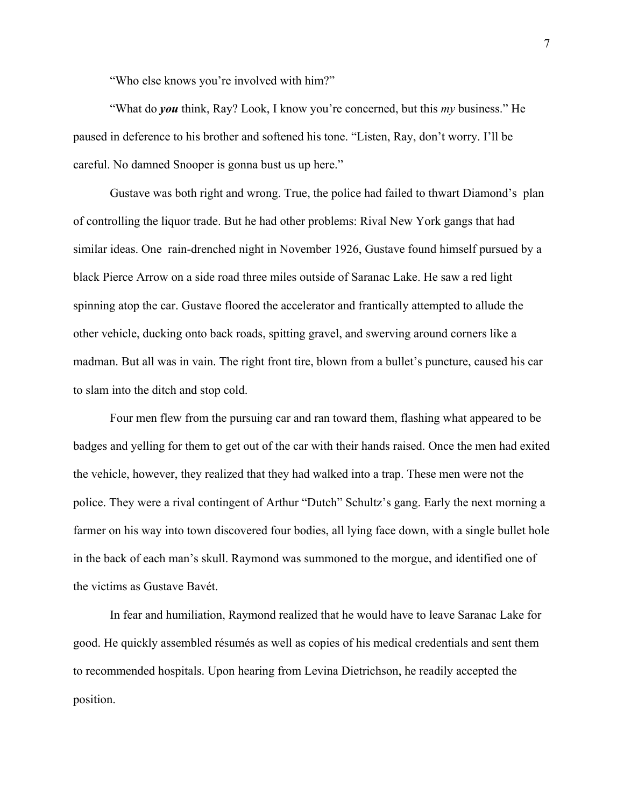"Who else knows you're involved with him?"

"What do *you* think, Ray? Look, I know you're concerned, but this *my* business." He paused in deference to his brother and softened his tone. "Listen, Ray, don't worry. I'll be careful. No damned Snooper is gonna bust us up here."

Gustave was both right and wrong. True, the police had failed to thwart Diamond's plan of controlling the liquor trade. But he had other problems: Rival New York gangs that had similar ideas. One rain-drenched night in November 1926, Gustave found himself pursued by a black Pierce Arrow on a side road three miles outside of Saranac Lake. He saw a red light spinning atop the car. Gustave floored the accelerator and frantically attempted to allude the other vehicle, ducking onto back roads, spitting gravel, and swerving around corners like a madman. But all was in vain. The right front tire, blown from a bullet's puncture, caused his car to slam into the ditch and stop cold.

Four men flew from the pursuing car and ran toward them, flashing what appeared to be badges and yelling for them to get out of the car with their hands raised. Once the men had exited the vehicle, however, they realized that they had walked into a trap. These men were not the police. They were a rival contingent of Arthur "Dutch" Schultz's gang. Early the next morning a farmer on his way into town discovered four bodies, all lying face down, with a single bullet hole in the back of each man's skull. Raymond was summoned to the morgue, and identified one of the victims as Gustave Bavét.

In fear and humiliation, Raymond realized that he would have to leave Saranac Lake for good. He quickly assembled résumés as well as copies of his medical credentials and sent them to recommended hospitals. Upon hearing from Levina Dietrichson, he readily accepted the position.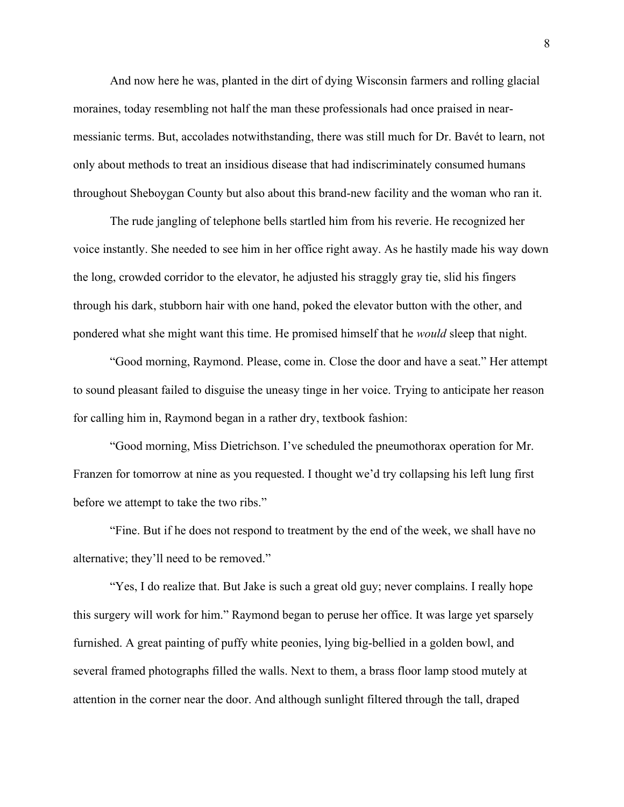And now here he was, planted in the dirt of dying Wisconsin farmers and rolling glacial moraines, today resembling not half the man these professionals had once praised in nearmessianic terms. But, accolades notwithstanding, there was still much for Dr. Bavét to learn, not only about methods to treat an insidious disease that had indiscriminately consumed humans throughout Sheboygan County but also about this brand-new facility and the woman who ran it.

The rude jangling of telephone bells startled him from his reverie. He recognized her voice instantly. She needed to see him in her office right away. As he hastily made his way down the long, crowded corridor to the elevator, he adjusted his straggly gray tie, slid his fingers through his dark, stubborn hair with one hand, poked the elevator button with the other, and pondered what she might want this time. He promised himself that he *would* sleep that night.

"Good morning, Raymond. Please, come in. Close the door and have a seat." Her attempt to sound pleasant failed to disguise the uneasy tinge in her voice. Trying to anticipate her reason for calling him in, Raymond began in a rather dry, textbook fashion:

"Good morning, Miss Dietrichson. I've scheduled the pneumothorax operation for Mr. Franzen for tomorrow at nine as you requested. I thought we'd try collapsing his left lung first before we attempt to take the two ribs."

"Fine. But if he does not respond to treatment by the end of the week, we shall have no alternative; they'll need to be removed."

"Yes, I do realize that. But Jake is such a great old guy; never complains. I really hope this surgery will work for him." Raymond began to peruse her office. It was large yet sparsely furnished. A great painting of puffy white peonies, lying big-bellied in a golden bowl, and several framed photographs filled the walls. Next to them, a brass floor lamp stood mutely at attention in the corner near the door. And although sunlight filtered through the tall, draped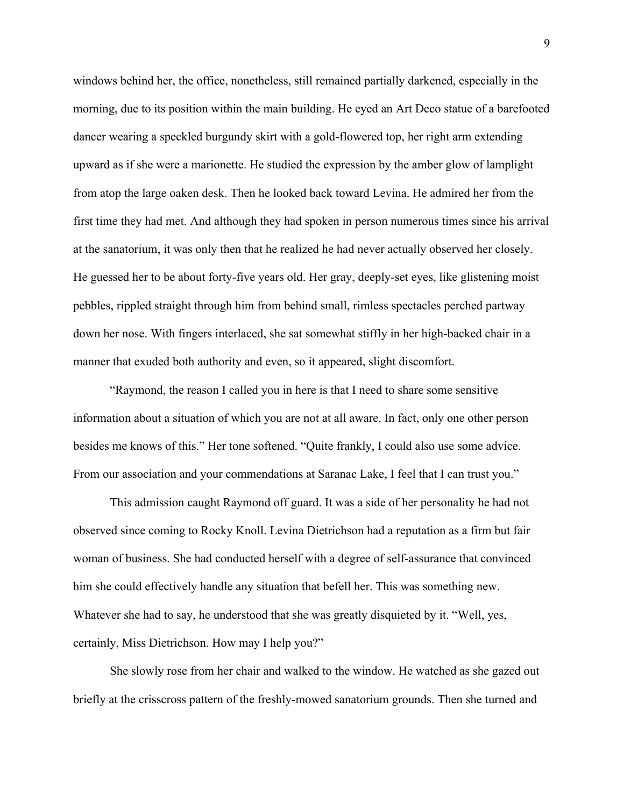windows behind her, the office, nonetheless, still remained partially darkened, especially in the morning, due to its position within the main building. He eyed an Art Deco statue of a barefooted dancer wearing a speckled burgundy skirt with a gold-flowered top, her right arm extending upward as if she were a marionette. He studied the expression by the amber glow of lamplight from atop the large oaken desk. Then he looked back toward Levina. He admired her from the first time they had met. And although they had spoken in person numerous times since his arrival at the sanatorium, it was only then that he realized he had never actually observed her closely. He guessed her to be about forty-five years old. Her gray, deeply-set eyes, like glistening moist pebbles, rippled straight through him from behind small, rimless spectacles perched partway down her nose. With fingers interlaced, she sat somewhat stiffly in her high-backed chair in a manner that exuded both authority and even, so it appeared, slight discomfort.

"Raymond, the reason I called you in here is that I need to share some sensitive information about a situation of which you are not at all aware. In fact, only one other person besides me knows of this." Her tone softened. "Quite frankly, I could also use some advice. From our association and your commendations at Saranac Lake, I feel that I can trust you."

This admission caught Raymond off guard. It was a side of her personality he had not observed since coming to Rocky Knoll. Levina Dietrichson had a reputation as a firm but fair woman of business. She had conducted herself with a degree of self-assurance that convinced him she could effectively handle any situation that befell her. This was something new. Whatever she had to say, he understood that she was greatly disquieted by it. "Well, yes, certainly, Miss Dietrichson. How may I help you?"

She slowly rose from her chair and walked to the window. He watched as she gazed out briefly at the crisscross pattern of the freshly-mowed sanatorium grounds. Then she turned and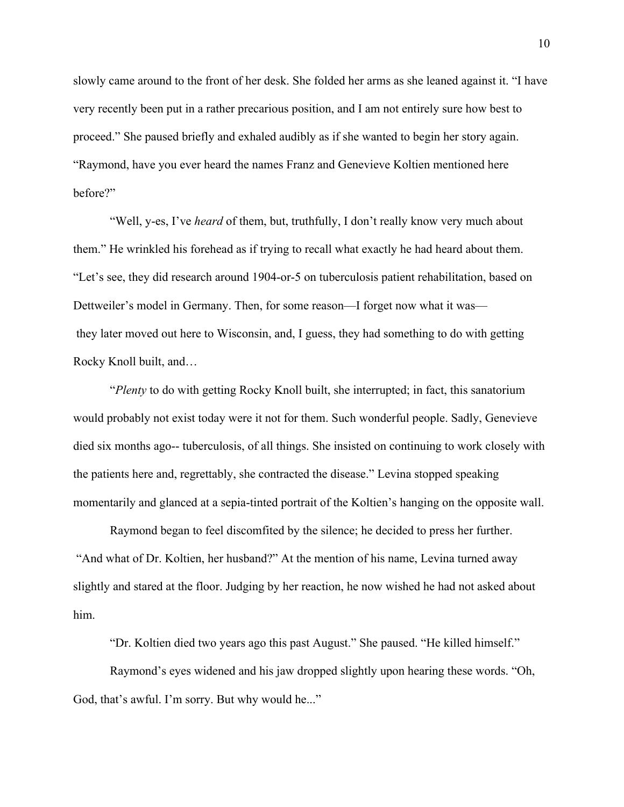slowly came around to the front of her desk. She folded her arms as she leaned against it. "I have very recently been put in a rather precarious position, and I am not entirely sure how best to proceed." She paused briefly and exhaled audibly as if she wanted to begin her story again. "Raymond, have you ever heard the names Franz and Genevieve Koltien mentioned here before?"

"Well, y-es, I've *heard* of them, but, truthfully, I don't really know very much about them." He wrinkled his forehead as if trying to recall what exactly he had heard about them. "Let's see, they did research around 1904-or-5 on tuberculosis patient rehabilitation, based on Dettweiler's model in Germany. Then, for some reason—I forget now what it was they later moved out here to Wisconsin, and, I guess, they had something to do with getting Rocky Knoll built, and…

"*Plenty* to do with getting Rocky Knoll built, she interrupted; in fact, this sanatorium would probably not exist today were it not for them. Such wonderful people. Sadly, Genevieve died six months ago-- tuberculosis, of all things. She insisted on continuing to work closely with the patients here and, regrettably, she contracted the disease." Levina stopped speaking momentarily and glanced at a sepia-tinted portrait of the Koltien's hanging on the opposite wall.

Raymond began to feel discomfited by the silence; he decided to press her further. "And what of Dr. Koltien, her husband?" At the mention of his name, Levina turned away slightly and stared at the floor. Judging by her reaction, he now wished he had not asked about him.

"Dr. Koltien died two years ago this past August." She paused. "He killed himself."

Raymond's eyes widened and his jaw dropped slightly upon hearing these words. "Oh, God, that's awful. I'm sorry. But why would he..."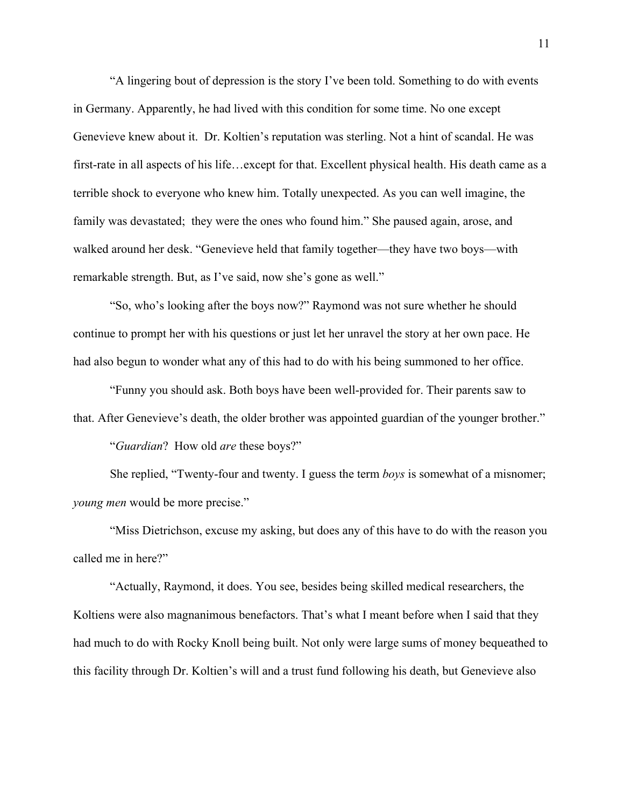"A lingering bout of depression is the story I've been told. Something to do with events in Germany. Apparently, he had lived with this condition for some time. No one except Genevieve knew about it. Dr. Koltien's reputation was sterling. Not a hint of scandal. He was first-rate in all aspects of his life…except for that. Excellent physical health. His death came as a terrible shock to everyone who knew him. Totally unexpected. As you can well imagine, the family was devastated; they were the ones who found him." She paused again, arose, and walked around her desk. "Genevieve held that family together—they have two boys—with remarkable strength. But, as I've said, now she's gone as well."

"So, who's looking after the boys now?" Raymond was not sure whether he should continue to prompt her with his questions or just let her unravel the story at her own pace. He had also begun to wonder what any of this had to do with his being summoned to her office.

"Funny you should ask. Both boys have been well-provided for. Their parents saw to that. After Genevieve's death, the older brother was appointed guardian of the younger brother."

"*Guardian*? How old *are* these boys?"

She replied, "Twenty-four and twenty. I guess the term *boys* is somewhat of a misnomer; *young men* would be more precise."

"Miss Dietrichson, excuse my asking, but does any of this have to do with the reason you called me in here?"

"Actually, Raymond, it does. You see, besides being skilled medical researchers, the Koltiens were also magnanimous benefactors. That's what I meant before when I said that they had much to do with Rocky Knoll being built. Not only were large sums of money bequeathed to this facility through Dr. Koltien's will and a trust fund following his death, but Genevieve also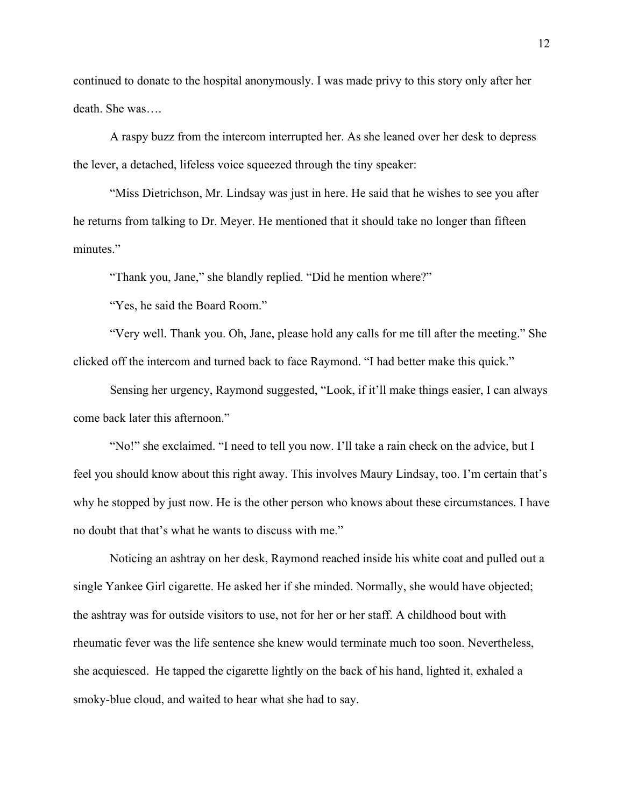continued to donate to the hospital anonymously. I was made privy to this story only after her death. She was….

A raspy buzz from the intercom interrupted her. As she leaned over her desk to depress the lever, a detached, lifeless voice squeezed through the tiny speaker:

"Miss Dietrichson, Mr. Lindsay was just in here. He said that he wishes to see you after he returns from talking to Dr. Meyer. He mentioned that it should take no longer than fifteen minutes."

"Thank you, Jane," she blandly replied. "Did he mention where?"

"Yes, he said the Board Room."

"Very well. Thank you. Oh, Jane, please hold any calls for me till after the meeting." She clicked off the intercom and turned back to face Raymond. "I had better make this quick."

Sensing her urgency, Raymond suggested, "Look, if it'll make things easier, I can always come back later this afternoon."

"No!" she exclaimed. "I need to tell you now. I'll take a rain check on the advice, but I feel you should know about this right away. This involves Maury Lindsay, too. I'm certain that's why he stopped by just now. He is the other person who knows about these circumstances. I have no doubt that that's what he wants to discuss with me."

Noticing an ashtray on her desk, Raymond reached inside his white coat and pulled out a single Yankee Girl cigarette. He asked her if she minded. Normally, she would have objected; the ashtray was for outside visitors to use, not for her or her staff. A childhood bout with rheumatic fever was the life sentence she knew would terminate much too soon. Nevertheless, she acquiesced. He tapped the cigarette lightly on the back of his hand, lighted it, exhaled a smoky-blue cloud, and waited to hear what she had to say.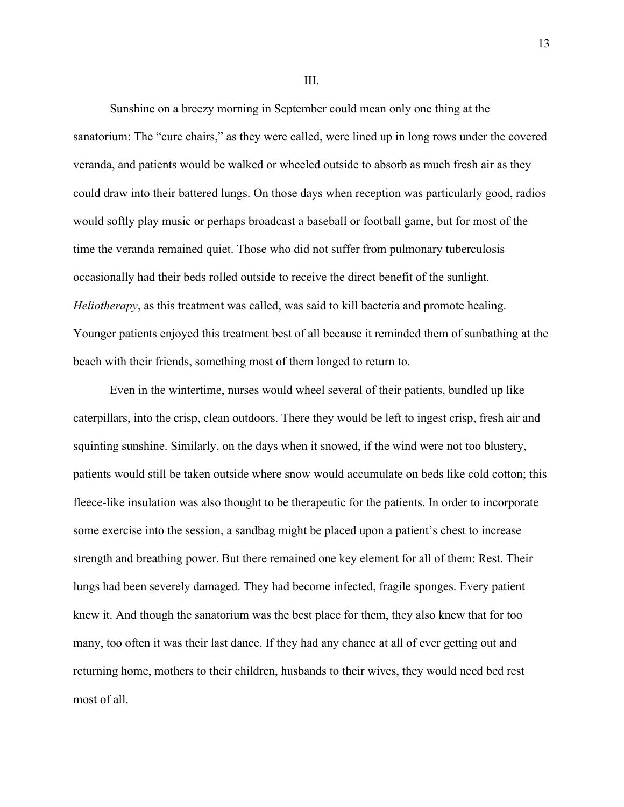Sunshine on a breezy morning in September could mean only one thing at the sanatorium: The "cure chairs," as they were called, were lined up in long rows under the covered veranda, and patients would be walked or wheeled outside to absorb as much fresh air as they could draw into their battered lungs. On those days when reception was particularly good, radios would softly play music or perhaps broadcast a baseball or football game, but for most of the time the veranda remained quiet. Those who did not suffer from pulmonary tuberculosis occasionally had their beds rolled outside to receive the direct benefit of the sunlight. *Heliotherapy*, as this treatment was called, was said to kill bacteria and promote healing. Younger patients enjoyed this treatment best of all because it reminded them of sunbathing at the beach with their friends, something most of them longed to return to.

Even in the wintertime, nurses would wheel several of their patients, bundled up like caterpillars, into the crisp, clean outdoors. There they would be left to ingest crisp, fresh air and squinting sunshine. Similarly, on the days when it snowed, if the wind were not too blustery, patients would still be taken outside where snow would accumulate on beds like cold cotton; this fleece-like insulation was also thought to be therapeutic for the patients. In order to incorporate some exercise into the session, a sandbag might be placed upon a patient's chest to increase strength and breathing power. But there remained one key element for all of them: Rest. Their lungs had been severely damaged. They had become infected, fragile sponges. Every patient knew it. And though the sanatorium was the best place for them, they also knew that for too many, too often it was their last dance. If they had any chance at all of ever getting out and returning home, mothers to their children, husbands to their wives, they would need bed rest most of all.

III.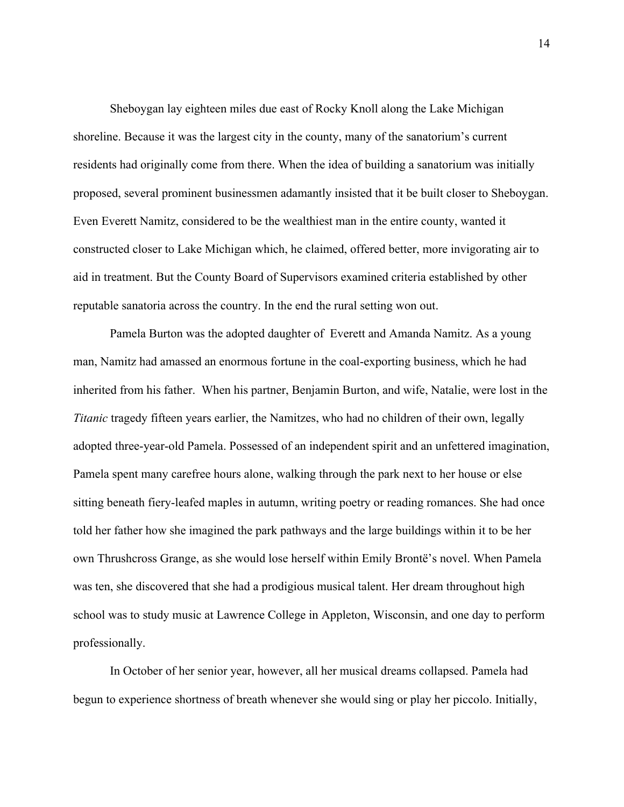Sheboygan lay eighteen miles due east of Rocky Knoll along the Lake Michigan shoreline. Because it was the largest city in the county, many of the sanatorium's current residents had originally come from there. When the idea of building a sanatorium was initially proposed, several prominent businessmen adamantly insisted that it be built closer to Sheboygan. Even Everett Namitz, considered to be the wealthiest man in the entire county, wanted it constructed closer to Lake Michigan which, he claimed, offered better, more invigorating air to aid in treatment. But the County Board of Supervisors examined criteria established by other reputable sanatoria across the country. In the end the rural setting won out.

Pamela Burton was the adopted daughter of Everett and Amanda Namitz. As a young man, Namitz had amassed an enormous fortune in the coal-exporting business, which he had inherited from his father. When his partner, Benjamin Burton, and wife, Natalie, were lost in the *Titanic* tragedy fifteen years earlier, the Namitzes, who had no children of their own, legally adopted three-year-old Pamela. Possessed of an independent spirit and an unfettered imagination, Pamela spent many carefree hours alone, walking through the park next to her house or else sitting beneath fiery-leafed maples in autumn, writing poetry or reading romances. She had once told her father how she imagined the park pathways and the large buildings within it to be her own Thrushcross Grange, as she would lose herself within Emily Brontë's novel. When Pamela was ten, she discovered that she had a prodigious musical talent. Her dream throughout high school was to study music at Lawrence College in Appleton, Wisconsin, and one day to perform professionally.

In October of her senior year, however, all her musical dreams collapsed. Pamela had begun to experience shortness of breath whenever she would sing or play her piccolo. Initially,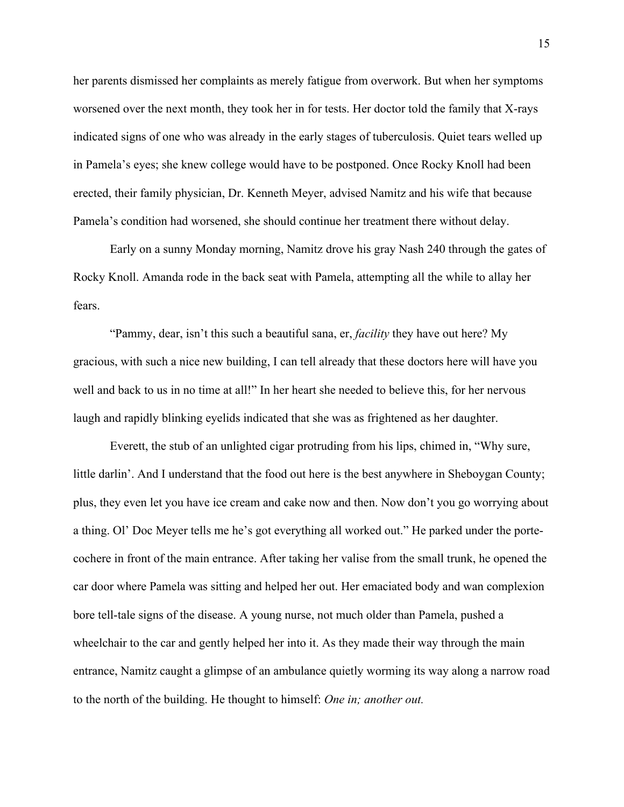her parents dismissed her complaints as merely fatigue from overwork. But when her symptoms worsened over the next month, they took her in for tests. Her doctor told the family that X-rays indicated signs of one who was already in the early stages of tuberculosis. Quiet tears welled up in Pamela's eyes; she knew college would have to be postponed. Once Rocky Knoll had been erected, their family physician, Dr. Kenneth Meyer, advised Namitz and his wife that because Pamela's condition had worsened, she should continue her treatment there without delay.

Early on a sunny Monday morning, Namitz drove his gray Nash 240 through the gates of Rocky Knoll. Amanda rode in the back seat with Pamela, attempting all the while to allay her fears.

"Pammy, dear, isn't this such a beautiful sana, er, *facility* they have out here? My gracious, with such a nice new building, I can tell already that these doctors here will have you well and back to us in no time at all!" In her heart she needed to believe this, for her nervous laugh and rapidly blinking eyelids indicated that she was as frightened as her daughter.

Everett, the stub of an unlighted cigar protruding from his lips, chimed in, "Why sure, little darlin'. And I understand that the food out here is the best anywhere in Sheboygan County; plus, they even let you have ice cream and cake now and then. Now don't you go worrying about a thing. Ol' Doc Meyer tells me he's got everything all worked out." He parked under the portecochere in front of the main entrance. After taking her valise from the small trunk, he opened the car door where Pamela was sitting and helped her out. Her emaciated body and wan complexion bore tell-tale signs of the disease. A young nurse, not much older than Pamela, pushed a wheelchair to the car and gently helped her into it. As they made their way through the main entrance, Namitz caught a glimpse of an ambulance quietly worming its way along a narrow road to the north of the building. He thought to himself: *One in; another out.*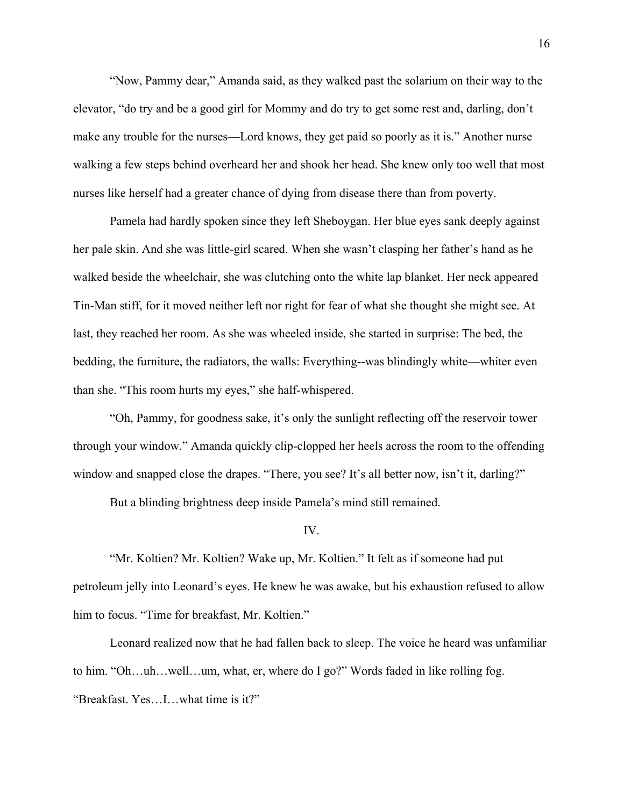"Now, Pammy dear," Amanda said, as they walked past the solarium on their way to the elevator, "do try and be a good girl for Mommy and do try to get some rest and, darling, don't make any trouble for the nurses—Lord knows, they get paid so poorly as it is." Another nurse walking a few steps behind overheard her and shook her head. She knew only too well that most nurses like herself had a greater chance of dying from disease there than from poverty.

Pamela had hardly spoken since they left Sheboygan. Her blue eyes sank deeply against her pale skin. And she was little-girl scared. When she wasn't clasping her father's hand as he walked beside the wheelchair, she was clutching onto the white lap blanket. Her neck appeared Tin-Man stiff, for it moved neither left nor right for fear of what she thought she might see. At last, they reached her room. As she was wheeled inside, she started in surprise: The bed, the bedding, the furniture, the radiators, the walls: Everything--was blindingly white—whiter even than she. "This room hurts my eyes," she half-whispered.

"Oh, Pammy, for goodness sake, it's only the sunlight reflecting off the reservoir tower through your window." Amanda quickly clip-clopped her heels across the room to the offending window and snapped close the drapes. "There, you see? It's all better now, isn't it, darling?"

But a blinding brightness deep inside Pamela's mind still remained.

### IV.

"Mr. Koltien? Mr. Koltien? Wake up, Mr. Koltien." It felt as if someone had put petroleum jelly into Leonard's eyes. He knew he was awake, but his exhaustion refused to allow him to focus. "Time for breakfast, Mr. Koltien."

Leonard realized now that he had fallen back to sleep. The voice he heard was unfamiliar to him. "Oh…uh…well…um, what, er, where do I go?" Words faded in like rolling fog. "Breakfast. Yes…I…what time is it?"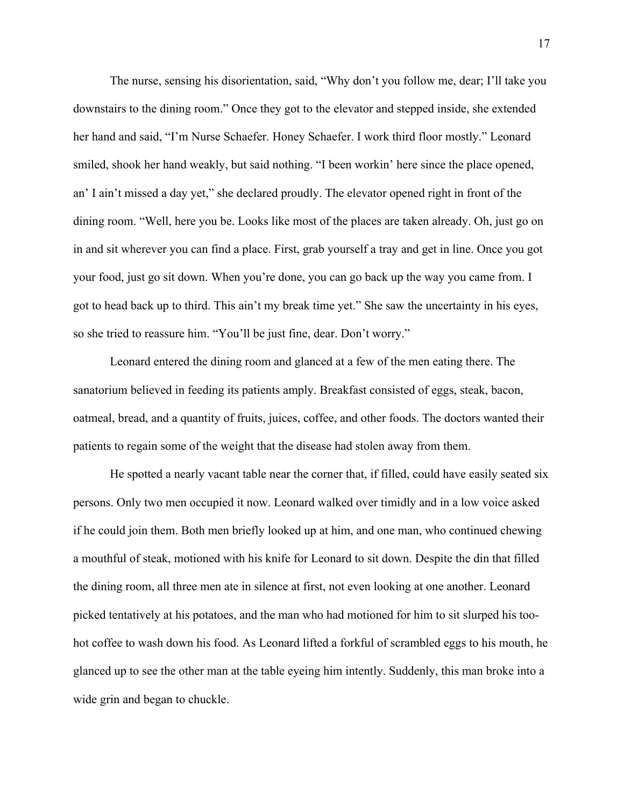The nurse, sensing his disorientation, said, "Why don't you follow me, dear; I'll take you downstairs to the dining room." Once they got to the elevator and stepped inside, she extended her hand and said, "I'm Nurse Schaefer. Honey Schaefer. I work third floor mostly." Leonard smiled, shook her hand weakly, but said nothing. "I been workin' here since the place opened, an' I ain't missed a day yet," she declared proudly. The elevator opened right in front of the dining room. "Well, here you be. Looks like most of the places are taken already. Oh, just go on in and sit wherever you can find a place. First, grab yourself a tray and get in line. Once you got your food, just go sit down. When you're done, you can go back up the way you came from. I got to head back up to third. This ain't my break time yet." She saw the uncertainty in his eyes, so she tried to reassure him. "You'll be just fine, dear. Don't worry."

Leonard entered the dining room and glanced at a few of the men eating there. The sanatorium believed in feeding its patients amply. Breakfast consisted of eggs, steak, bacon, oatmeal, bread, and a quantity of fruits, juices, coffee, and other foods. The doctors wanted their patients to regain some of the weight that the disease had stolen away from them.

He spotted a nearly vacant table near the corner that, if filled, could have easily seated six persons. Only two men occupied it now. Leonard walked over timidly and in a low voice asked if he could join them. Both men briefly looked up at him, and one man, who continued chewing a mouthful of steak, motioned with his knife for Leonard to sit down. Despite the din that filled the dining room, all three men ate in silence at first, not even looking at one another. Leonard picked tentatively at his potatoes, and the man who had motioned for him to sit slurped his toohot coffee to wash down his food. As Leonard lifted a forkful of scrambled eggs to his mouth, he glanced up to see the other man at the table eyeing him intently. Suddenly, this man broke into a wide grin and began to chuckle.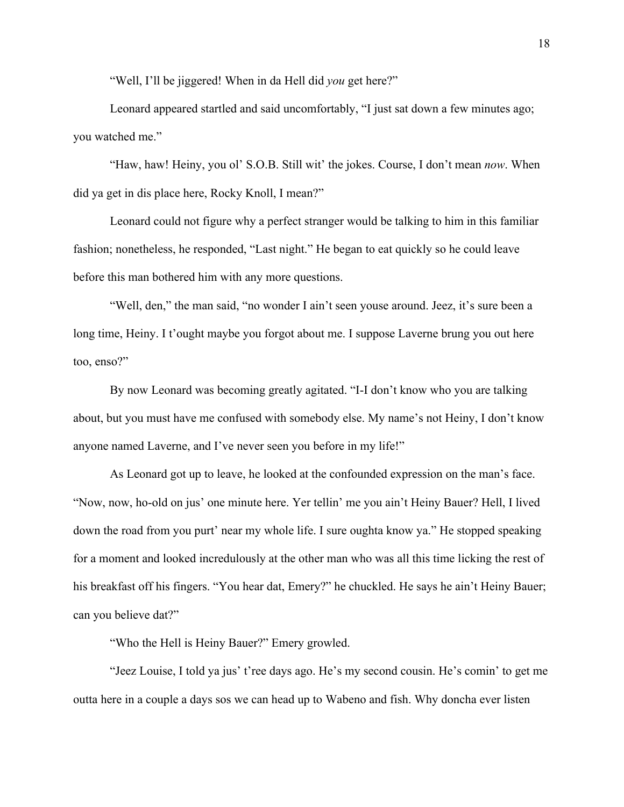"Well, I'll be jiggered! When in da Hell did *you* get here?"

Leonard appeared startled and said uncomfortably, "I just sat down a few minutes ago; you watched me."

"Haw, haw! Heiny, you ol' S.O.B. Still wit' the jokes. Course, I don't mean *now*. When did ya get in dis place here, Rocky Knoll, I mean?"

Leonard could not figure why a perfect stranger would be talking to him in this familiar fashion; nonetheless, he responded, "Last night." He began to eat quickly so he could leave before this man bothered him with any more questions.

"Well, den," the man said, "no wonder I ain't seen youse around. Jeez, it's sure been a long time, Heiny. I t'ought maybe you forgot about me. I suppose Laverne brung you out here too, enso?"

By now Leonard was becoming greatly agitated. "I-I don't know who you are talking about, but you must have me confused with somebody else. My name's not Heiny, I don't know anyone named Laverne, and I've never seen you before in my life!"

As Leonard got up to leave, he looked at the confounded expression on the man's face. "Now, now, ho-old on jus' one minute here. Yer tellin' me you ain't Heiny Bauer? Hell, I lived down the road from you purt' near my whole life. I sure oughta know ya." He stopped speaking for a moment and looked incredulously at the other man who was all this time licking the rest of his breakfast off his fingers. "You hear dat, Emery?" he chuckled. He says he ain't Heiny Bauer; can you believe dat?"

"Who the Hell is Heiny Bauer?" Emery growled.

"Jeez Louise, I told ya jus' t'ree days ago. He's my second cousin. He's comin' to get me outta here in a couple a days sos we can head up to Wabeno and fish. Why doncha ever listen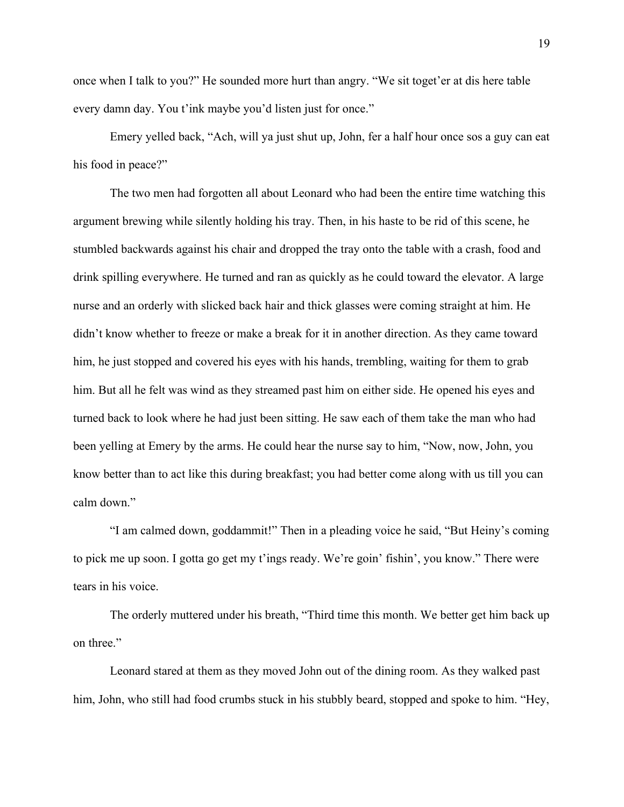once when I talk to you?" He sounded more hurt than angry. "We sit toget'er at dis here table every damn day. You t'ink maybe you'd listen just for once."

Emery yelled back, "Ach, will ya just shut up, John, fer a half hour once sos a guy can eat his food in peace?"

The two men had forgotten all about Leonard who had been the entire time watching this argument brewing while silently holding his tray. Then, in his haste to be rid of this scene, he stumbled backwards against his chair and dropped the tray onto the table with a crash, food and drink spilling everywhere. He turned and ran as quickly as he could toward the elevator. A large nurse and an orderly with slicked back hair and thick glasses were coming straight at him. He didn't know whether to freeze or make a break for it in another direction. As they came toward him, he just stopped and covered his eyes with his hands, trembling, waiting for them to grab him. But all he felt was wind as they streamed past him on either side. He opened his eyes and turned back to look where he had just been sitting. He saw each of them take the man who had been yelling at Emery by the arms. He could hear the nurse say to him, "Now, now, John, you know better than to act like this during breakfast; you had better come along with us till you can calm down."

"I am calmed down, goddammit!" Then in a pleading voice he said, "But Heiny's coming to pick me up soon. I gotta go get my t'ings ready. We're goin' fishin', you know." There were tears in his voice.

The orderly muttered under his breath, "Third time this month. We better get him back up on three."

Leonard stared at them as they moved John out of the dining room. As they walked past him, John, who still had food crumbs stuck in his stubbly beard, stopped and spoke to him. "Hey,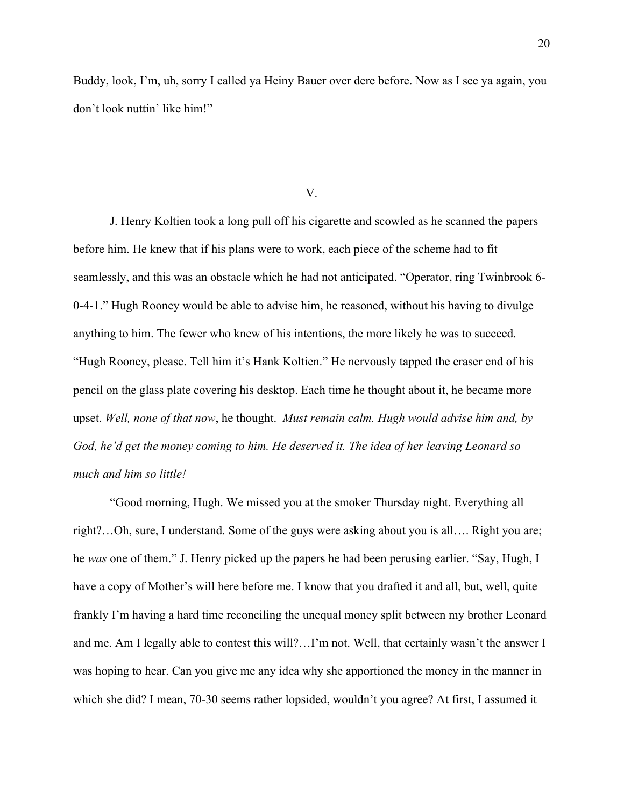Buddy, look, I'm, uh, sorry I called ya Heiny Bauer over dere before. Now as I see ya again, you don't look nuttin' like him!"

V.

J. Henry Koltien took a long pull off his cigarette and scowled as he scanned the papers before him. He knew that if his plans were to work, each piece of the scheme had to fit seamlessly, and this was an obstacle which he had not anticipated. "Operator, ring Twinbrook 6- 0-4-1." Hugh Rooney would be able to advise him, he reasoned, without his having to divulge anything to him. The fewer who knew of his intentions, the more likely he was to succeed. "Hugh Rooney, please. Tell him it's Hank Koltien." He nervously tapped the eraser end of his pencil on the glass plate covering his desktop. Each time he thought about it, he became more upset. *Well, none of that now*, he thought. *Must remain calm. Hugh would advise him and, by God, he'd get the money coming to him. He deserved it. The idea of her leaving Leonard so much and him so little!*

"Good morning, Hugh. We missed you at the smoker Thursday night. Everything all right?…Oh, sure, I understand. Some of the guys were asking about you is all…. Right you are; he *was* one of them." J. Henry picked up the papers he had been perusing earlier. "Say, Hugh, I have a copy of Mother's will here before me. I know that you drafted it and all, but, well, quite frankly I'm having a hard time reconciling the unequal money split between my brother Leonard and me. Am I legally able to contest this will?…I'm not. Well, that certainly wasn't the answer I was hoping to hear. Can you give me any idea why she apportioned the money in the manner in which she did? I mean, 70-30 seems rather lopsided, wouldn't you agree? At first, I assumed it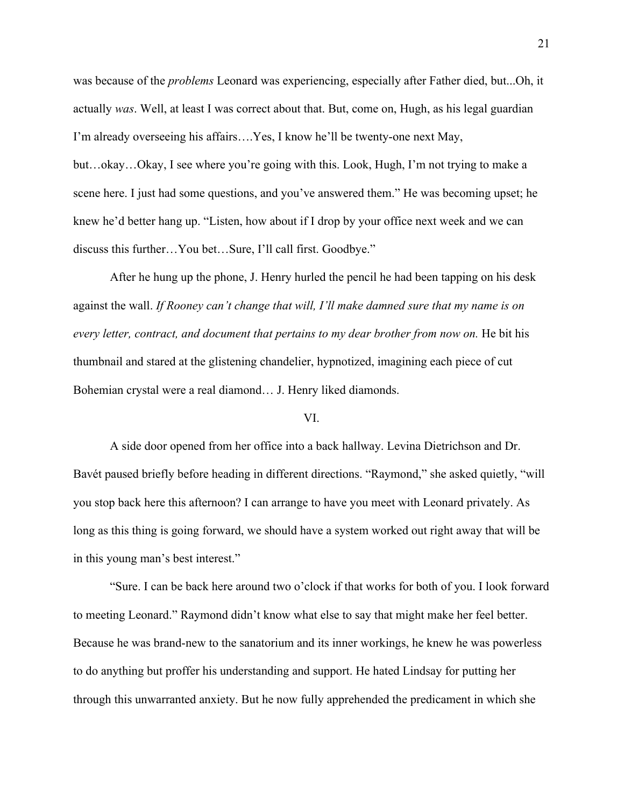was because of the *problems* Leonard was experiencing, especially after Father died, but...Oh, it actually *was*. Well, at least I was correct about that. But, come on, Hugh, as his legal guardian I'm already overseeing his affairs….Yes, I know he'll be twenty-one next May, but…okay…Okay, I see where you're going with this. Look, Hugh, I'm not trying to make a scene here. I just had some questions, and you've answered them." He was becoming upset; he knew he'd better hang up. "Listen, how about if I drop by your office next week and we can discuss this further…You bet…Sure, I'll call first. Goodbye."

After he hung up the phone, J. Henry hurled the pencil he had been tapping on his desk against the wall. *If Rooney can't change that will, I'll make damned sure that my name is on every letter, contract, and document that pertains to my dear brother from now on.* He bit his thumbnail and stared at the glistening chandelier, hypnotized, imagining each piece of cut Bohemian crystal were a real diamond… J. Henry liked diamonds.

## VI.

A side door opened from her office into a back hallway. Levina Dietrichson and Dr. Bavét paused briefly before heading in different directions. "Raymond," she asked quietly, "will you stop back here this afternoon? I can arrange to have you meet with Leonard privately. As long as this thing is going forward, we should have a system worked out right away that will be in this young man's best interest."

"Sure. I can be back here around two o'clock if that works for both of you. I look forward to meeting Leonard." Raymond didn't know what else to say that might make her feel better. Because he was brand-new to the sanatorium and its inner workings, he knew he was powerless to do anything but proffer his understanding and support. He hated Lindsay for putting her through this unwarranted anxiety. But he now fully apprehended the predicament in which she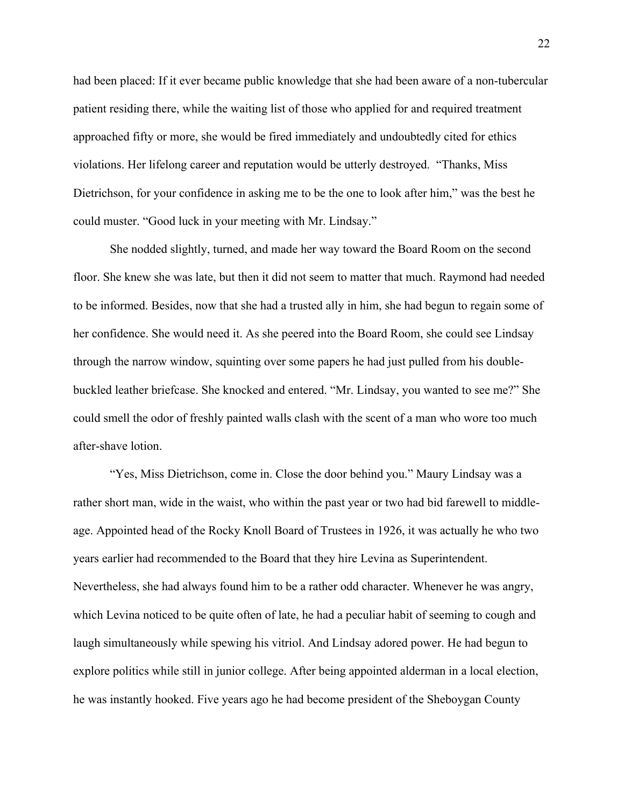had been placed: If it ever became public knowledge that she had been aware of a non-tubercular patient residing there, while the waiting list of those who applied for and required treatment approached fifty or more, she would be fired immediately and undoubtedly cited for ethics violations. Her lifelong career and reputation would be utterly destroyed. "Thanks, Miss Dietrichson, for your confidence in asking me to be the one to look after him," was the best he could muster. "Good luck in your meeting with Mr. Lindsay."

She nodded slightly, turned, and made her way toward the Board Room on the second floor. She knew she was late, but then it did not seem to matter that much. Raymond had needed to be informed. Besides, now that she had a trusted ally in him, she had begun to regain some of her confidence. She would need it. As she peered into the Board Room, she could see Lindsay through the narrow window, squinting over some papers he had just pulled from his doublebuckled leather briefcase. She knocked and entered. "Mr. Lindsay, you wanted to see me?" She could smell the odor of freshly painted walls clash with the scent of a man who wore too much after-shave lotion.

"Yes, Miss Dietrichson, come in. Close the door behind you." Maury Lindsay was a rather short man, wide in the waist, who within the past year or two had bid farewell to middleage. Appointed head of the Rocky Knoll Board of Trustees in 1926, it was actually he who two years earlier had recommended to the Board that they hire Levina as Superintendent. Nevertheless, she had always found him to be a rather odd character. Whenever he was angry, which Levina noticed to be quite often of late, he had a peculiar habit of seeming to cough and laugh simultaneously while spewing his vitriol. And Lindsay adored power. He had begun to explore politics while still in junior college. After being appointed alderman in a local election, he was instantly hooked. Five years ago he had become president of the Sheboygan County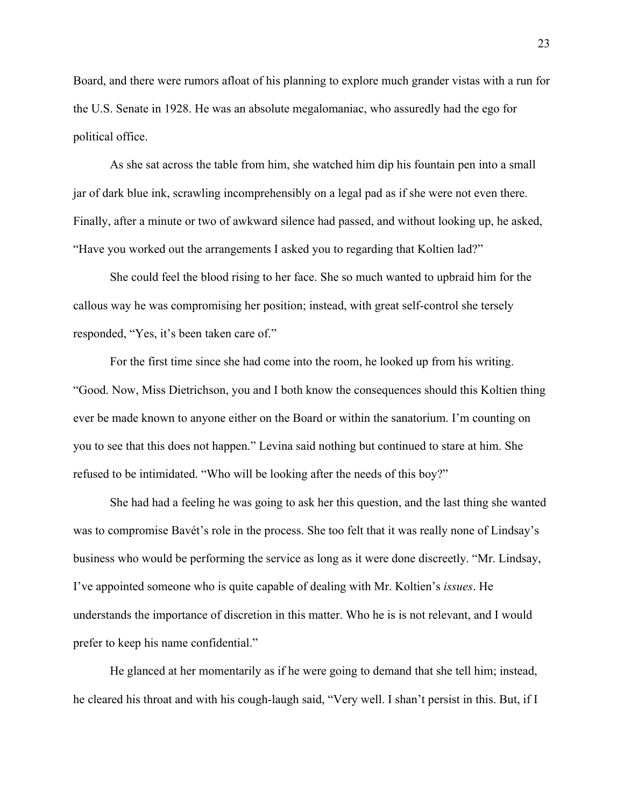Board, and there were rumors afloat of his planning to explore much grander vistas with a run for the U.S. Senate in 1928. He was an absolute megalomaniac, who assuredly had the ego for political office.

As she sat across the table from him, she watched him dip his fountain pen into a small jar of dark blue ink, scrawling incomprehensibly on a legal pad as if she were not even there. Finally, after a minute or two of awkward silence had passed, and without looking up, he asked, "Have you worked out the arrangements I asked you to regarding that Koltien lad?"

She could feel the blood rising to her face. She so much wanted to upbraid him for the callous way he was compromising her position; instead, with great self-control she tersely responded, "Yes, it's been taken care of."

For the first time since she had come into the room, he looked up from his writing. "Good. Now, Miss Dietrichson, you and I both know the consequences should this Koltien thing ever be made known to anyone either on the Board or within the sanatorium. I'm counting on you to see that this does not happen." Levina said nothing but continued to stare at him. She refused to be intimidated. "Who will be looking after the needs of this boy?"

She had had a feeling he was going to ask her this question, and the last thing she wanted was to compromise Bavét's role in the process. She too felt that it was really none of Lindsay's business who would be performing the service as long as it were done discreetly. "Mr. Lindsay, I've appointed someone who is quite capable of dealing with Mr. Koltien's *issues*. He understands the importance of discretion in this matter. Who he is is not relevant, and I would prefer to keep his name confidential."

He glanced at her momentarily as if he were going to demand that she tell him; instead, he cleared his throat and with his cough-laugh said, "Very well. I shan't persist in this. But, if I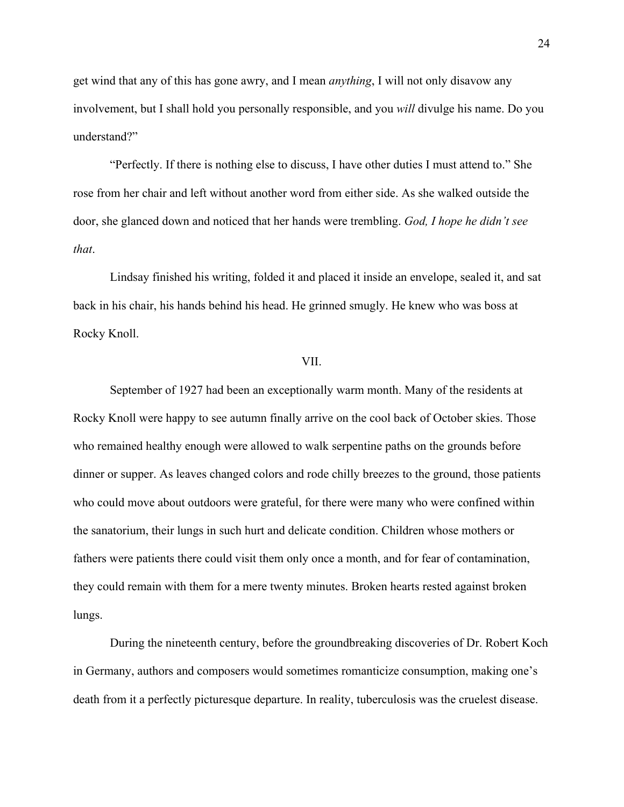get wind that any of this has gone awry, and I mean *anything*, I will not only disavow any involvement, but I shall hold you personally responsible, and you *will* divulge his name. Do you understand?"

"Perfectly. If there is nothing else to discuss, I have other duties I must attend to." She rose from her chair and left without another word from either side. As she walked outside the door, she glanced down and noticed that her hands were trembling. *God, I hope he didn't see that*.

Lindsay finished his writing, folded it and placed it inside an envelope, sealed it, and sat back in his chair, his hands behind his head. He grinned smugly. He knew who was boss at Rocky Knoll.

# VII.

September of 1927 had been an exceptionally warm month. Many of the residents at Rocky Knoll were happy to see autumn finally arrive on the cool back of October skies. Those who remained healthy enough were allowed to walk serpentine paths on the grounds before dinner or supper. As leaves changed colors and rode chilly breezes to the ground, those patients who could move about outdoors were grateful, for there were many who were confined within the sanatorium, their lungs in such hurt and delicate condition. Children whose mothers or fathers were patients there could visit them only once a month, and for fear of contamination, they could remain with them for a mere twenty minutes. Broken hearts rested against broken lungs.

During the nineteenth century, before the groundbreaking discoveries of Dr. Robert Koch in Germany, authors and composers would sometimes romanticize consumption, making one's death from it a perfectly picturesque departure. In reality, tuberculosis was the cruelest disease.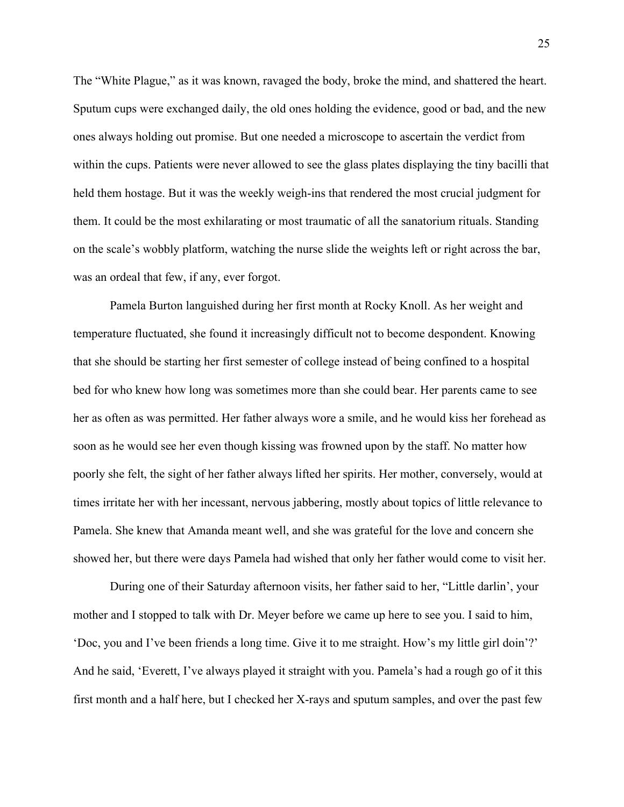The "White Plague," as it was known, ravaged the body, broke the mind, and shattered the heart. Sputum cups were exchanged daily, the old ones holding the evidence, good or bad, and the new ones always holding out promise. But one needed a microscope to ascertain the verdict from within the cups. Patients were never allowed to see the glass plates displaying the tiny bacilli that held them hostage. But it was the weekly weigh-ins that rendered the most crucial judgment for them. It could be the most exhilarating or most traumatic of all the sanatorium rituals. Standing on the scale's wobbly platform, watching the nurse slide the weights left or right across the bar, was an ordeal that few, if any, ever forgot.

Pamela Burton languished during her first month at Rocky Knoll. As her weight and temperature fluctuated, she found it increasingly difficult not to become despondent. Knowing that she should be starting her first semester of college instead of being confined to a hospital bed for who knew how long was sometimes more than she could bear. Her parents came to see her as often as was permitted. Her father always wore a smile, and he would kiss her forehead as soon as he would see her even though kissing was frowned upon by the staff. No matter how poorly she felt, the sight of her father always lifted her spirits. Her mother, conversely, would at times irritate her with her incessant, nervous jabbering, mostly about topics of little relevance to Pamela. She knew that Amanda meant well, and she was grateful for the love and concern she showed her, but there were days Pamela had wished that only her father would come to visit her.

During one of their Saturday afternoon visits, her father said to her, "Little darlin', your mother and I stopped to talk with Dr. Meyer before we came up here to see you. I said to him, 'Doc, you and I've been friends a long time. Give it to me straight. How's my little girl doin'?' And he said, 'Everett, I've always played it straight with you. Pamela's had a rough go of it this first month and a half here, but I checked her X-rays and sputum samples, and over the past few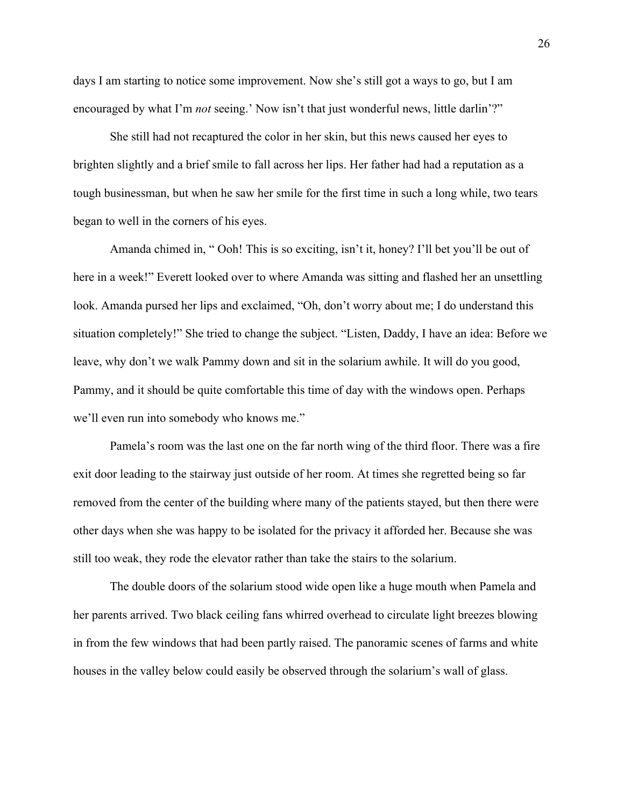days I am starting to notice some improvement. Now she's still got a ways to go, but I am encouraged by what I'm *not* seeing.' Now isn't that just wonderful news, little darlin'?"

She still had not recaptured the color in her skin, but this news caused her eyes to brighten slightly and a brief smile to fall across her lips. Her father had had a reputation as a tough businessman, but when he saw her smile for the first time in such a long while, two tears began to well in the corners of his eyes.

Amanda chimed in, " Ooh! This is so exciting, isn't it, honey? I'll bet you'll be out of here in a week!" Everett looked over to where Amanda was sitting and flashed her an unsettling look. Amanda pursed her lips and exclaimed, "Oh, don't worry about me; I do understand this situation completely!" She tried to change the subject. "Listen, Daddy, I have an idea: Before we leave, why don't we walk Pammy down and sit in the solarium awhile. It will do you good, Pammy, and it should be quite comfortable this time of day with the windows open. Perhaps we'll even run into somebody who knows me."

Pamela's room was the last one on the far north wing of the third floor. There was a fire exit door leading to the stairway just outside of her room. At times she regretted being so far removed from the center of the building where many of the patients stayed, but then there were other days when she was happy to be isolated for the privacy it afforded her. Because she was still too weak, they rode the elevator rather than take the stairs to the solarium.

The double doors of the solarium stood wide open like a huge mouth when Pamela and her parents arrived. Two black ceiling fans whirred overhead to circulate light breezes blowing in from the few windows that had been partly raised. The panoramic scenes of farms and white houses in the valley below could easily be observed through the solarium's wall of glass.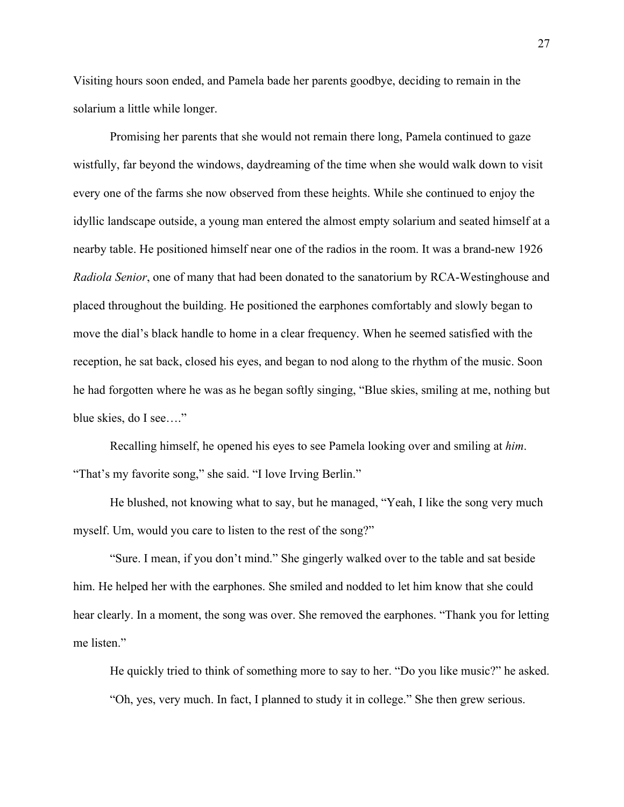Visiting hours soon ended, and Pamela bade her parents goodbye, deciding to remain in the solarium a little while longer.

Promising her parents that she would not remain there long, Pamela continued to gaze wistfully, far beyond the windows, daydreaming of the time when she would walk down to visit every one of the farms she now observed from these heights. While she continued to enjoy the idyllic landscape outside, a young man entered the almost empty solarium and seated himself at a nearby table. He positioned himself near one of the radios in the room. It was a brand-new 1926 *Radiola Senior*, one of many that had been donated to the sanatorium by RCA-Westinghouse and placed throughout the building. He positioned the earphones comfortably and slowly began to move the dial's black handle to home in a clear frequency. When he seemed satisfied with the reception, he sat back, closed his eyes, and began to nod along to the rhythm of the music. Soon he had forgotten where he was as he began softly singing, "Blue skies, smiling at me, nothing but blue skies, do I see…."

Recalling himself, he opened his eyes to see Pamela looking over and smiling at *him*. "That's my favorite song," she said. "I love Irving Berlin."

He blushed, not knowing what to say, but he managed, "Yeah, I like the song very much myself. Um, would you care to listen to the rest of the song?"

"Sure. I mean, if you don't mind." She gingerly walked over to the table and sat beside him. He helped her with the earphones. She smiled and nodded to let him know that she could hear clearly. In a moment, the song was over. She removed the earphones. "Thank you for letting me listen."

He quickly tried to think of something more to say to her. "Do you like music?" he asked. "Oh, yes, very much. In fact, I planned to study it in college." She then grew serious.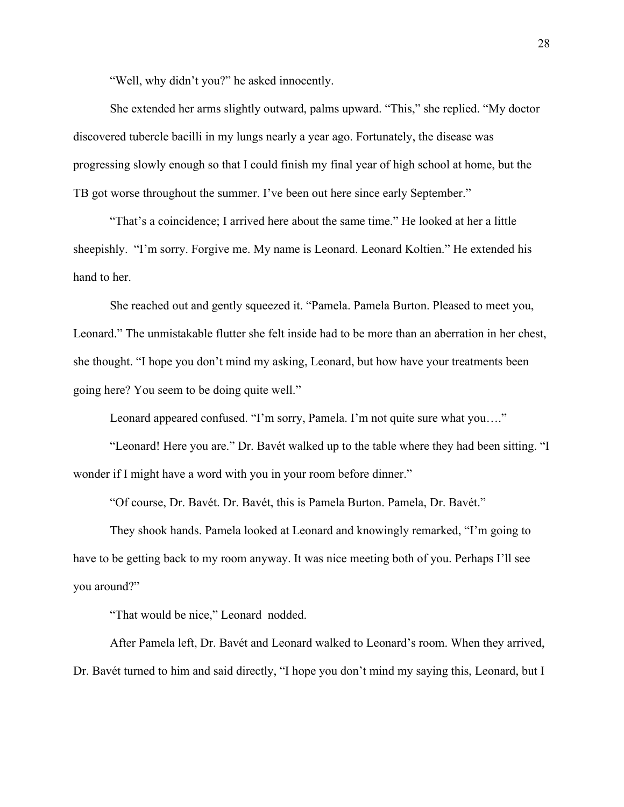"Well, why didn't you?" he asked innocently.

She extended her arms slightly outward, palms upward. "This," she replied. "My doctor discovered tubercle bacilli in my lungs nearly a year ago. Fortunately, the disease was progressing slowly enough so that I could finish my final year of high school at home, but the TB got worse throughout the summer. I've been out here since early September."

"That's a coincidence; I arrived here about the same time." He looked at her a little sheepishly. "I'm sorry. Forgive me. My name is Leonard. Leonard Koltien." He extended his hand to her.

She reached out and gently squeezed it. "Pamela. Pamela Burton. Pleased to meet you, Leonard." The unmistakable flutter she felt inside had to be more than an aberration in her chest, she thought. "I hope you don't mind my asking, Leonard, but how have your treatments been going here? You seem to be doing quite well."

Leonard appeared confused. "I'm sorry, Pamela. I'm not quite sure what you…."

"Leonard! Here you are." Dr. Bavét walked up to the table where they had been sitting. "I wonder if I might have a word with you in your room before dinner."

"Of course, Dr. Bavét. Dr. Bavét, this is Pamela Burton. Pamela, Dr. Bavét."

They shook hands. Pamela looked at Leonard and knowingly remarked, "I'm going to have to be getting back to my room anyway. It was nice meeting both of you. Perhaps I'll see you around?"

"That would be nice," Leonard nodded.

After Pamela left, Dr. Bavét and Leonard walked to Leonard's room. When they arrived, Dr. Bavét turned to him and said directly, "I hope you don't mind my saying this, Leonard, but I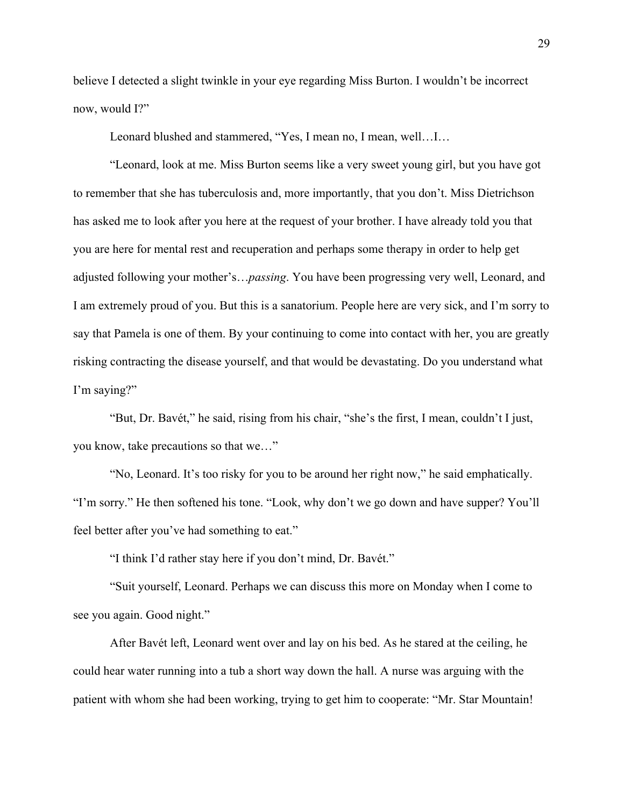believe I detected a slight twinkle in your eye regarding Miss Burton. I wouldn't be incorrect now, would I?"

Leonard blushed and stammered, "Yes, I mean no, I mean, well…I…

"Leonard, look at me. Miss Burton seems like a very sweet young girl, but you have got to remember that she has tuberculosis and, more importantly, that you don't. Miss Dietrichson has asked me to look after you here at the request of your brother. I have already told you that you are here for mental rest and recuperation and perhaps some therapy in order to help get adjusted following your mother's…*passing*. You have been progressing very well, Leonard, and I am extremely proud of you. But this is a sanatorium. People here are very sick, and I'm sorry to say that Pamela is one of them. By your continuing to come into contact with her, you are greatly risking contracting the disease yourself, and that would be devastating. Do you understand what I'm saying?"

"But, Dr. Bavét," he said, rising from his chair, "she's the first, I mean, couldn't I just, you know, take precautions so that we…"

"No, Leonard. It's too risky for you to be around her right now," he said emphatically. "I'm sorry." He then softened his tone. "Look, why don't we go down and have supper? You'll feel better after you've had something to eat."

"I think I'd rather stay here if you don't mind, Dr. Bavét."

"Suit yourself, Leonard. Perhaps we can discuss this more on Monday when I come to see you again. Good night."

After Bavét left, Leonard went over and lay on his bed. As he stared at the ceiling, he could hear water running into a tub a short way down the hall. A nurse was arguing with the patient with whom she had been working, trying to get him to cooperate: "Mr. Star Mountain!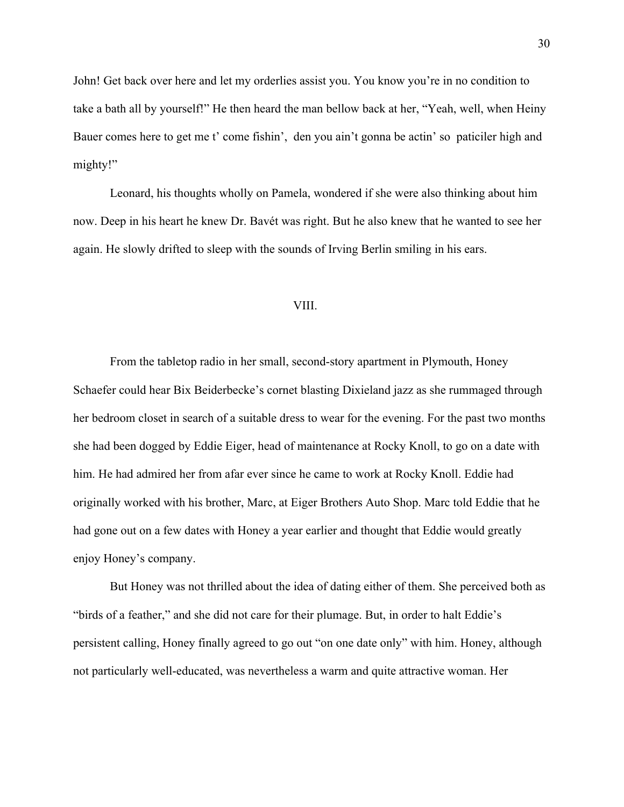John! Get back over here and let my orderlies assist you. You know you're in no condition to take a bath all by yourself!" He then heard the man bellow back at her, "Yeah, well, when Heiny Bauer comes here to get me t' come fishin', den you ain't gonna be actin' so paticiler high and mighty!"

Leonard, his thoughts wholly on Pamela, wondered if she were also thinking about him now. Deep in his heart he knew Dr. Bavét was right. But he also knew that he wanted to see her again. He slowly drifted to sleep with the sounds of Irving Berlin smiling in his ears.

## VIII.

From the tabletop radio in her small, second-story apartment in Plymouth, Honey Schaefer could hear Bix Beiderbecke's cornet blasting Dixieland jazz as she rummaged through her bedroom closet in search of a suitable dress to wear for the evening. For the past two months she had been dogged by Eddie Eiger, head of maintenance at Rocky Knoll, to go on a date with him. He had admired her from afar ever since he came to work at Rocky Knoll. Eddie had originally worked with his brother, Marc, at Eiger Brothers Auto Shop. Marc told Eddie that he had gone out on a few dates with Honey a year earlier and thought that Eddie would greatly enjoy Honey's company.

But Honey was not thrilled about the idea of dating either of them. She perceived both as "birds of a feather," and she did not care for their plumage. But, in order to halt Eddie's persistent calling, Honey finally agreed to go out "on one date only" with him. Honey, although not particularly well-educated, was nevertheless a warm and quite attractive woman. Her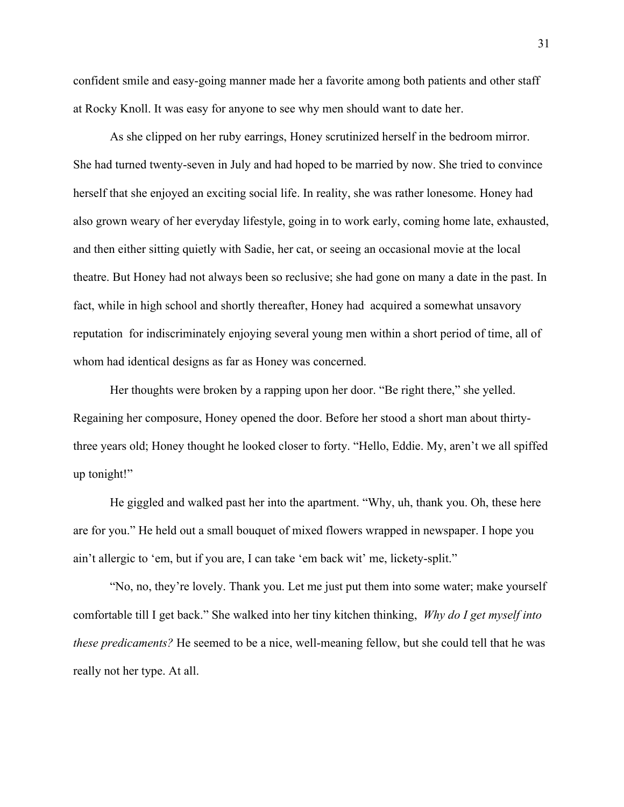confident smile and easy-going manner made her a favorite among both patients and other staff at Rocky Knoll. It was easy for anyone to see why men should want to date her.

As she clipped on her ruby earrings, Honey scrutinized herself in the bedroom mirror. She had turned twenty-seven in July and had hoped to be married by now. She tried to convince herself that she enjoyed an exciting social life. In reality, she was rather lonesome. Honey had also grown weary of her everyday lifestyle, going in to work early, coming home late, exhausted, and then either sitting quietly with Sadie, her cat, or seeing an occasional movie at the local theatre. But Honey had not always been so reclusive; she had gone on many a date in the past. In fact, while in high school and shortly thereafter, Honey had acquired a somewhat unsavory reputation for indiscriminately enjoying several young men within a short period of time, all of whom had identical designs as far as Honey was concerned.

Her thoughts were broken by a rapping upon her door. "Be right there," she yelled. Regaining her composure, Honey opened the door. Before her stood a short man about thirtythree years old; Honey thought he looked closer to forty. "Hello, Eddie. My, aren't we all spiffed up tonight!"

He giggled and walked past her into the apartment. "Why, uh, thank you. Oh, these here are for you." He held out a small bouquet of mixed flowers wrapped in newspaper. I hope you ain't allergic to 'em, but if you are, I can take 'em back wit' me, lickety-split."

"No, no, they're lovely. Thank you. Let me just put them into some water; make yourself comfortable till I get back." She walked into her tiny kitchen thinking, *Why do I get myself into these predicaments?* He seemed to be a nice, well-meaning fellow, but she could tell that he was really not her type. At all.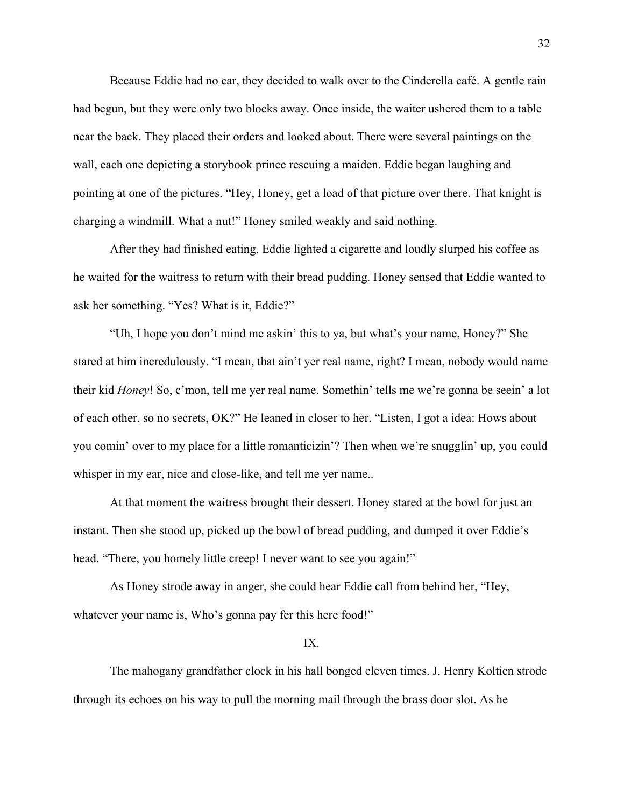Because Eddie had no car, they decided to walk over to the Cinderella café. A gentle rain had begun, but they were only two blocks away. Once inside, the waiter ushered them to a table near the back. They placed their orders and looked about. There were several paintings on the wall, each one depicting a storybook prince rescuing a maiden. Eddie began laughing and pointing at one of the pictures. "Hey, Honey, get a load of that picture over there. That knight is charging a windmill. What a nut!" Honey smiled weakly and said nothing.

After they had finished eating, Eddie lighted a cigarette and loudly slurped his coffee as he waited for the waitress to return with their bread pudding. Honey sensed that Eddie wanted to ask her something. "Yes? What is it, Eddie?"

"Uh, I hope you don't mind me askin' this to ya, but what's your name, Honey?" She stared at him incredulously. "I mean, that ain't yer real name, right? I mean, nobody would name their kid *Honey*! So, c'mon, tell me yer real name. Somethin' tells me we're gonna be seein' a lot of each other, so no secrets, OK?" He leaned in closer to her. "Listen, I got a idea: Hows about you comin' over to my place for a little romanticizin'? Then when we're snugglin' up, you could whisper in my ear, nice and close-like, and tell me yer name...

At that moment the waitress brought their dessert. Honey stared at the bowl for just an instant. Then she stood up, picked up the bowl of bread pudding, and dumped it over Eddie's head. "There, you homely little creep! I never want to see you again!"

As Honey strode away in anger, she could hear Eddie call from behind her, "Hey, whatever your name is, Who's gonna pay fer this here food!"

### IX.

The mahogany grandfather clock in his hall bonged eleven times. J. Henry Koltien strode through its echoes on his way to pull the morning mail through the brass door slot. As he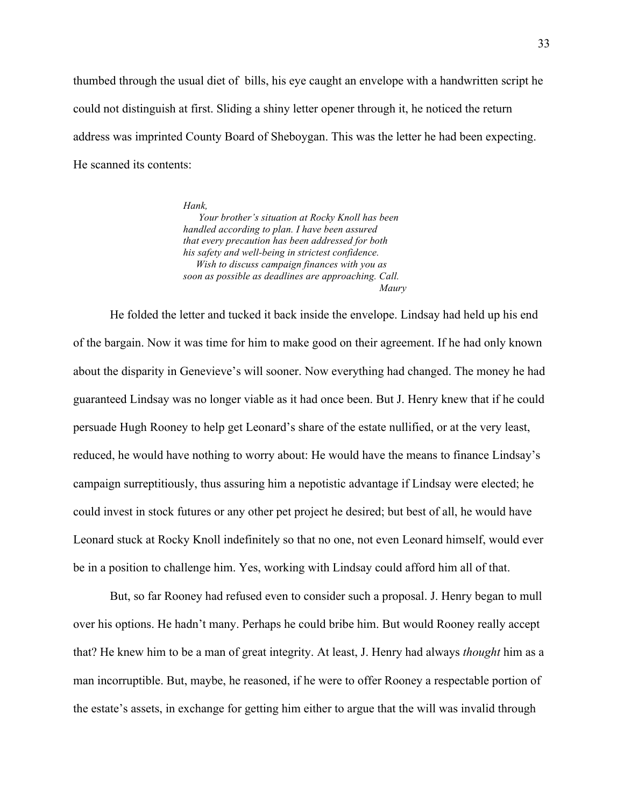thumbed through the usual diet of bills, his eye caught an envelope with a handwritten script he could not distinguish at first. Sliding a shiny letter opener through it, he noticed the return address was imprinted County Board of Sheboygan. This was the letter he had been expecting. He scanned its contents:

> *Hank, Your brother's situation at Rocky Knoll has been handled according to plan. I have been assured that every precaution has been addressed for both his safety and well-being in strictest confidence. Wish to discuss campaign finances with you as soon as possible as deadlines are approaching. Call. Maury*

He folded the letter and tucked it back inside the envelope. Lindsay had held up his end of the bargain. Now it was time for him to make good on their agreement. If he had only known about the disparity in Genevieve's will sooner. Now everything had changed. The money he had guaranteed Lindsay was no longer viable as it had once been. But J. Henry knew that if he could persuade Hugh Rooney to help get Leonard's share of the estate nullified, or at the very least, reduced, he would have nothing to worry about: He would have the means to finance Lindsay's campaign surreptitiously, thus assuring him a nepotistic advantage if Lindsay were elected; he could invest in stock futures or any other pet project he desired; but best of all, he would have Leonard stuck at Rocky Knoll indefinitely so that no one, not even Leonard himself, would ever be in a position to challenge him. Yes, working with Lindsay could afford him all of that.

But, so far Rooney had refused even to consider such a proposal. J. Henry began to mull over his options. He hadn't many. Perhaps he could bribe him. But would Rooney really accept that? He knew him to be a man of great integrity. At least, J. Henry had always *thought* him as a man incorruptible. But, maybe, he reasoned, if he were to offer Rooney a respectable portion of the estate's assets, in exchange for getting him either to argue that the will was invalid through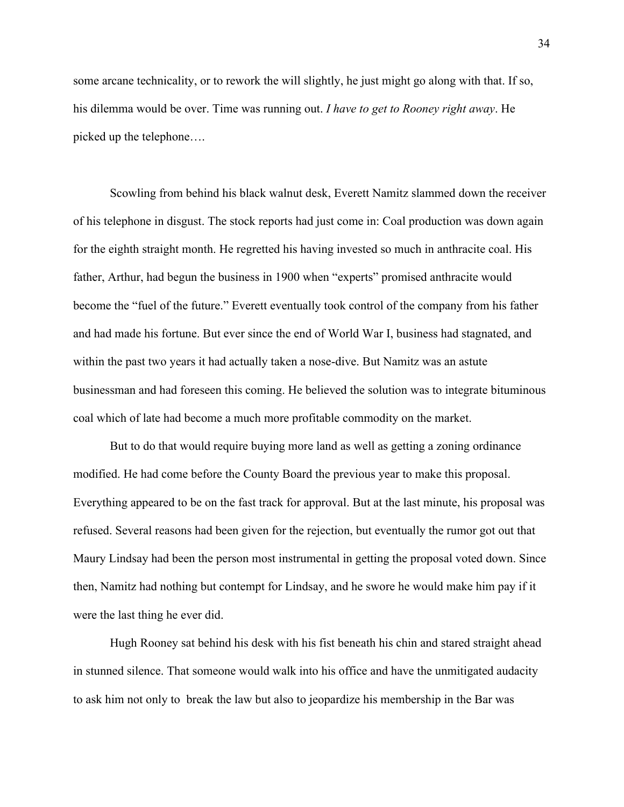some arcane technicality, or to rework the will slightly, he just might go along with that. If so, his dilemma would be over. Time was running out. *I have to get to Rooney right away*. He picked up the telephone….

Scowling from behind his black walnut desk, Everett Namitz slammed down the receiver of his telephone in disgust. The stock reports had just come in: Coal production was down again for the eighth straight month. He regretted his having invested so much in anthracite coal. His father, Arthur, had begun the business in 1900 when "experts" promised anthracite would become the "fuel of the future." Everett eventually took control of the company from his father and had made his fortune. But ever since the end of World War I, business had stagnated, and within the past two years it had actually taken a nose-dive. But Namitz was an astute businessman and had foreseen this coming. He believed the solution was to integrate bituminous coal which of late had become a much more profitable commodity on the market.

But to do that would require buying more land as well as getting a zoning ordinance modified. He had come before the County Board the previous year to make this proposal. Everything appeared to be on the fast track for approval. But at the last minute, his proposal was refused. Several reasons had been given for the rejection, but eventually the rumor got out that Maury Lindsay had been the person most instrumental in getting the proposal voted down. Since then, Namitz had nothing but contempt for Lindsay, and he swore he would make him pay if it were the last thing he ever did.

Hugh Rooney sat behind his desk with his fist beneath his chin and stared straight ahead in stunned silence. That someone would walk into his office and have the unmitigated audacity to ask him not only to break the law but also to jeopardize his membership in the Bar was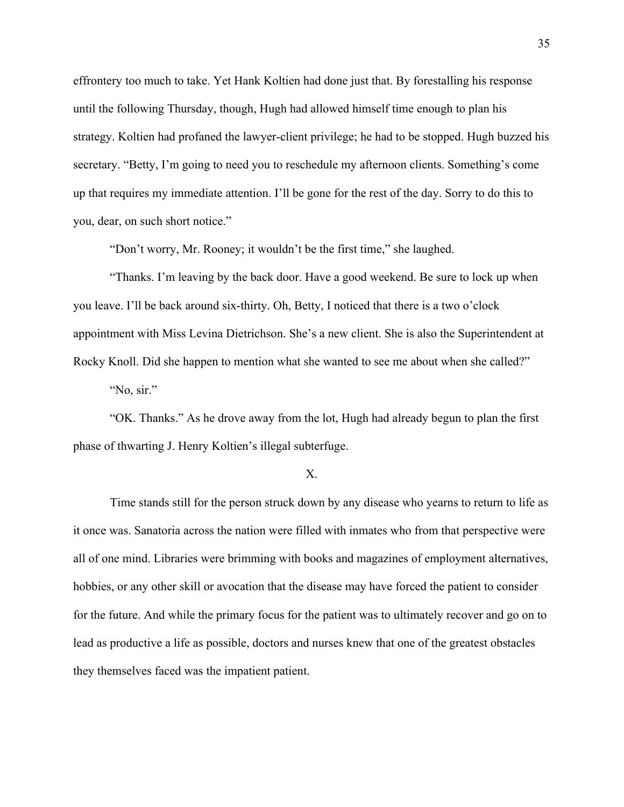effrontery too much to take. Yet Hank Koltien had done just that. By forestalling his response until the following Thursday, though, Hugh had allowed himself time enough to plan his strategy. Koltien had profaned the lawyer-client privilege; he had to be stopped. Hugh buzzed his secretary. "Betty, I'm going to need you to reschedule my afternoon clients. Something's come up that requires my immediate attention. I'll be gone for the rest of the day. Sorry to do this to you, dear, on such short notice."

"Don't worry, Mr. Rooney; it wouldn't be the first time," she laughed.

"Thanks. I'm leaving by the back door. Have a good weekend. Be sure to lock up when you leave. I'll be back around six-thirty. Oh, Betty, I noticed that there is a two o'clock appointment with Miss Levina Dietrichson. She's a new client. She is also the Superintendent at Rocky Knoll. Did she happen to mention what she wanted to see me about when she called?" "No, sir."

"OK. Thanks." As he drove away from the lot, Hugh had already begun to plan the first phase of thwarting J. Henry Koltien's illegal subterfuge.

# X.

Time stands still for the person struck down by any disease who yearns to return to life as it once was. Sanatoria across the nation were filled with inmates who from that perspective were all of one mind. Libraries were brimming with books and magazines of employment alternatives, hobbies, or any other skill or avocation that the disease may have forced the patient to consider for the future. And while the primary focus for the patient was to ultimately recover and go on to lead as productive a life as possible, doctors and nurses knew that one of the greatest obstacles they themselves faced was the impatient patient.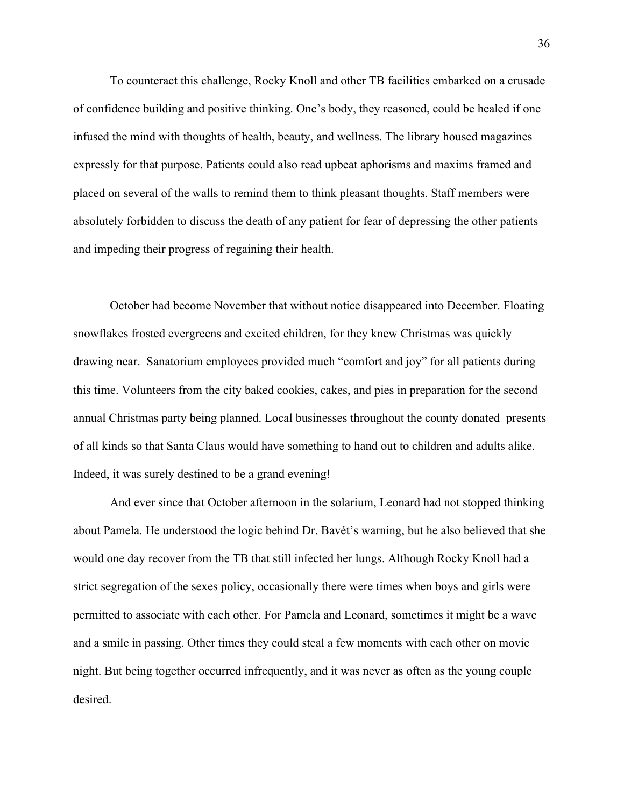To counteract this challenge, Rocky Knoll and other TB facilities embarked on a crusade of confidence building and positive thinking. One's body, they reasoned, could be healed if one infused the mind with thoughts of health, beauty, and wellness. The library housed magazines expressly for that purpose. Patients could also read upbeat aphorisms and maxims framed and placed on several of the walls to remind them to think pleasant thoughts. Staff members were absolutely forbidden to discuss the death of any patient for fear of depressing the other patients and impeding their progress of regaining their health.

October had become November that without notice disappeared into December. Floating snowflakes frosted evergreens and excited children, for they knew Christmas was quickly drawing near. Sanatorium employees provided much "comfort and joy" for all patients during this time. Volunteers from the city baked cookies, cakes, and pies in preparation for the second annual Christmas party being planned. Local businesses throughout the county donated presents of all kinds so that Santa Claus would have something to hand out to children and adults alike. Indeed, it was surely destined to be a grand evening!

And ever since that October afternoon in the solarium, Leonard had not stopped thinking about Pamela. He understood the logic behind Dr. Bavét's warning, but he also believed that she would one day recover from the TB that still infected her lungs. Although Rocky Knoll had a strict segregation of the sexes policy, occasionally there were times when boys and girls were permitted to associate with each other. For Pamela and Leonard, sometimes it might be a wave and a smile in passing. Other times they could steal a few moments with each other on movie night. But being together occurred infrequently, and it was never as often as the young couple desired.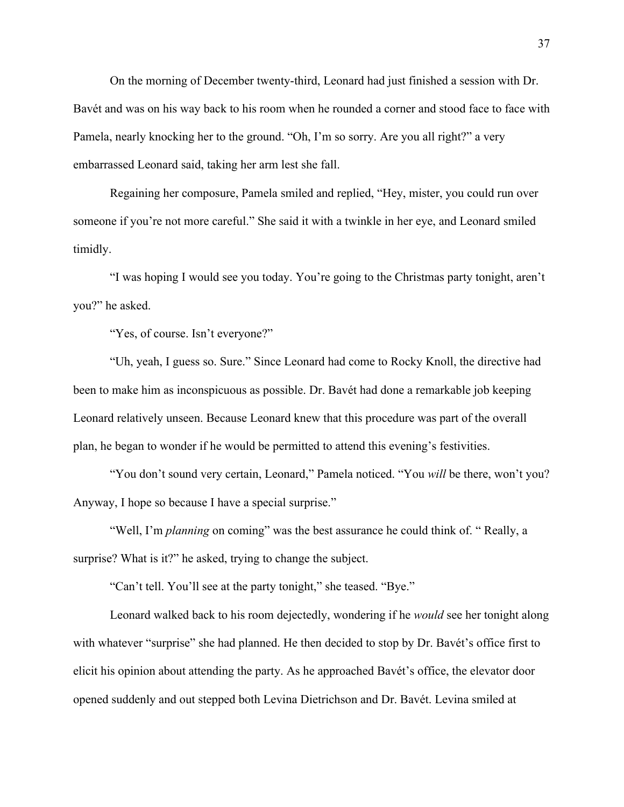On the morning of December twenty-third, Leonard had just finished a session with Dr. Bavét and was on his way back to his room when he rounded a corner and stood face to face with Pamela, nearly knocking her to the ground. "Oh, I'm so sorry. Are you all right?" a very embarrassed Leonard said, taking her arm lest she fall.

Regaining her composure, Pamela smiled and replied, "Hey, mister, you could run over someone if you're not more careful." She said it with a twinkle in her eye, and Leonard smiled timidly.

"I was hoping I would see you today. You're going to the Christmas party tonight, aren't you?" he asked.

"Yes, of course. Isn't everyone?"

"Uh, yeah, I guess so. Sure." Since Leonard had come to Rocky Knoll, the directive had been to make him as inconspicuous as possible. Dr. Bavét had done a remarkable job keeping Leonard relatively unseen. Because Leonard knew that this procedure was part of the overall plan, he began to wonder if he would be permitted to attend this evening's festivities.

"You don't sound very certain, Leonard," Pamela noticed. "You *will* be there, won't you? Anyway, I hope so because I have a special surprise."

"Well, I'm *planning* on coming" was the best assurance he could think of. " Really, a surprise? What is it?" he asked, trying to change the subject.

"Can't tell. You'll see at the party tonight," she teased. "Bye."

Leonard walked back to his room dejectedly, wondering if he *would* see her tonight along with whatever "surprise" she had planned. He then decided to stop by Dr. Bavét's office first to elicit his opinion about attending the party. As he approached Bavét's office, the elevator door opened suddenly and out stepped both Levina Dietrichson and Dr. Bavét. Levina smiled at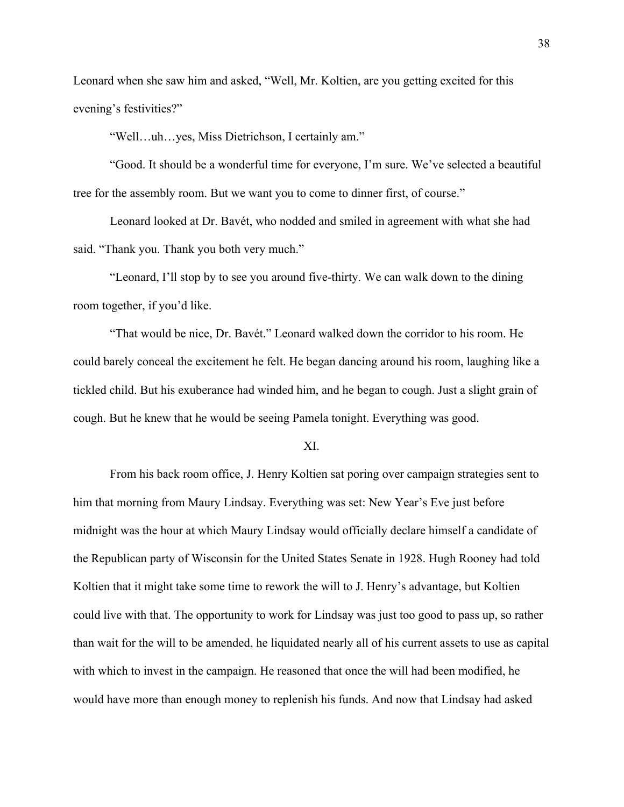Leonard when she saw him and asked, "Well, Mr. Koltien, are you getting excited for this evening's festivities?"

"Well…uh…yes, Miss Dietrichson, I certainly am."

"Good. It should be a wonderful time for everyone, I'm sure. We've selected a beautiful tree for the assembly room. But we want you to come to dinner first, of course."

Leonard looked at Dr. Bavét, who nodded and smiled in agreement with what she had said. "Thank you. Thank you both very much."

"Leonard, I'll stop by to see you around five-thirty. We can walk down to the dining room together, if you'd like.

"That would be nice, Dr. Bavét." Leonard walked down the corridor to his room. He could barely conceal the excitement he felt. He began dancing around his room, laughing like a tickled child. But his exuberance had winded him, and he began to cough. Just a slight grain of cough. But he knew that he would be seeing Pamela tonight. Everything was good.

#### XI.

From his back room office, J. Henry Koltien sat poring over campaign strategies sent to him that morning from Maury Lindsay. Everything was set: New Year's Eve just before midnight was the hour at which Maury Lindsay would officially declare himself a candidate of the Republican party of Wisconsin for the United States Senate in 1928. Hugh Rooney had told Koltien that it might take some time to rework the will to J. Henry's advantage, but Koltien could live with that. The opportunity to work for Lindsay was just too good to pass up, so rather than wait for the will to be amended, he liquidated nearly all of his current assets to use as capital with which to invest in the campaign. He reasoned that once the will had been modified, he would have more than enough money to replenish his funds. And now that Lindsay had asked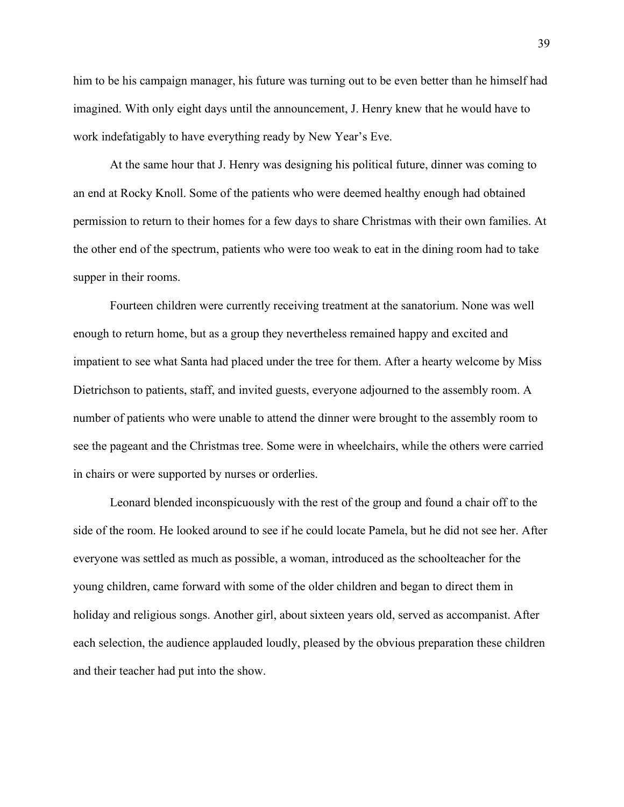him to be his campaign manager, his future was turning out to be even better than he himself had imagined. With only eight days until the announcement, J. Henry knew that he would have to work indefatigably to have everything ready by New Year's Eve.

At the same hour that J. Henry was designing his political future, dinner was coming to an end at Rocky Knoll. Some of the patients who were deemed healthy enough had obtained permission to return to their homes for a few days to share Christmas with their own families. At the other end of the spectrum, patients who were too weak to eat in the dining room had to take supper in their rooms.

Fourteen children were currently receiving treatment at the sanatorium. None was well enough to return home, but as a group they nevertheless remained happy and excited and impatient to see what Santa had placed under the tree for them. After a hearty welcome by Miss Dietrichson to patients, staff, and invited guests, everyone adjourned to the assembly room. A number of patients who were unable to attend the dinner were brought to the assembly room to see the pageant and the Christmas tree. Some were in wheelchairs, while the others were carried in chairs or were supported by nurses or orderlies.

Leonard blended inconspicuously with the rest of the group and found a chair off to the side of the room. He looked around to see if he could locate Pamela, but he did not see her. After everyone was settled as much as possible, a woman, introduced as the schoolteacher for the young children, came forward with some of the older children and began to direct them in holiday and religious songs. Another girl, about sixteen years old, served as accompanist. After each selection, the audience applauded loudly, pleased by the obvious preparation these children and their teacher had put into the show.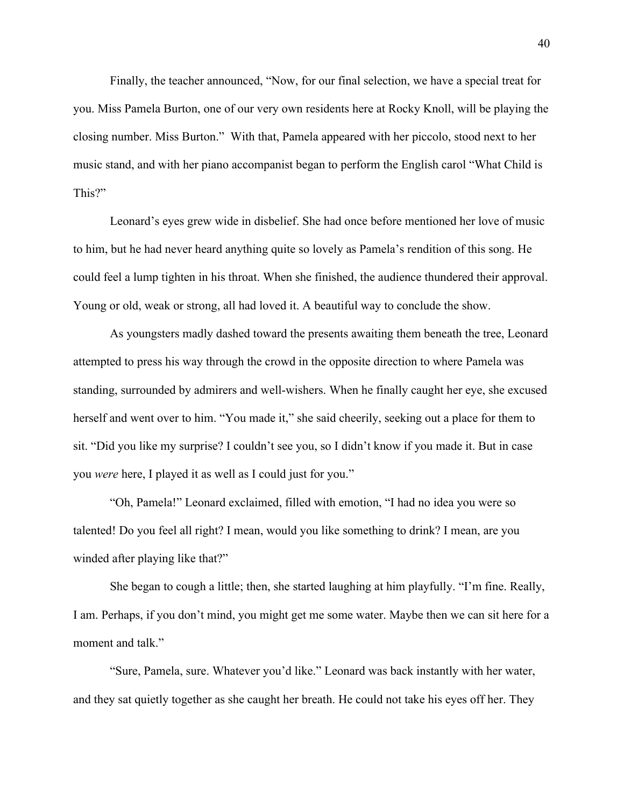Finally, the teacher announced, "Now, for our final selection, we have a special treat for you. Miss Pamela Burton, one of our very own residents here at Rocky Knoll, will be playing the closing number. Miss Burton." With that, Pamela appeared with her piccolo, stood next to her music stand, and with her piano accompanist began to perform the English carol "What Child is This?"

Leonard's eyes grew wide in disbelief. She had once before mentioned her love of music to him, but he had never heard anything quite so lovely as Pamela's rendition of this song. He could feel a lump tighten in his throat. When she finished, the audience thundered their approval. Young or old, weak or strong, all had loved it. A beautiful way to conclude the show.

As youngsters madly dashed toward the presents awaiting them beneath the tree, Leonard attempted to press his way through the crowd in the opposite direction to where Pamela was standing, surrounded by admirers and well-wishers. When he finally caught her eye, she excused herself and went over to him. "You made it," she said cheerily, seeking out a place for them to sit. "Did you like my surprise? I couldn't see you, so I didn't know if you made it. But in case you *were* here, I played it as well as I could just for you."

"Oh, Pamela!" Leonard exclaimed, filled with emotion, "I had no idea you were so talented! Do you feel all right? I mean, would you like something to drink? I mean, are you winded after playing like that?"

She began to cough a little; then, she started laughing at him playfully. "I'm fine. Really, I am. Perhaps, if you don't mind, you might get me some water. Maybe then we can sit here for a moment and talk."

"Sure, Pamela, sure. Whatever you'd like." Leonard was back instantly with her water, and they sat quietly together as she caught her breath. He could not take his eyes off her. They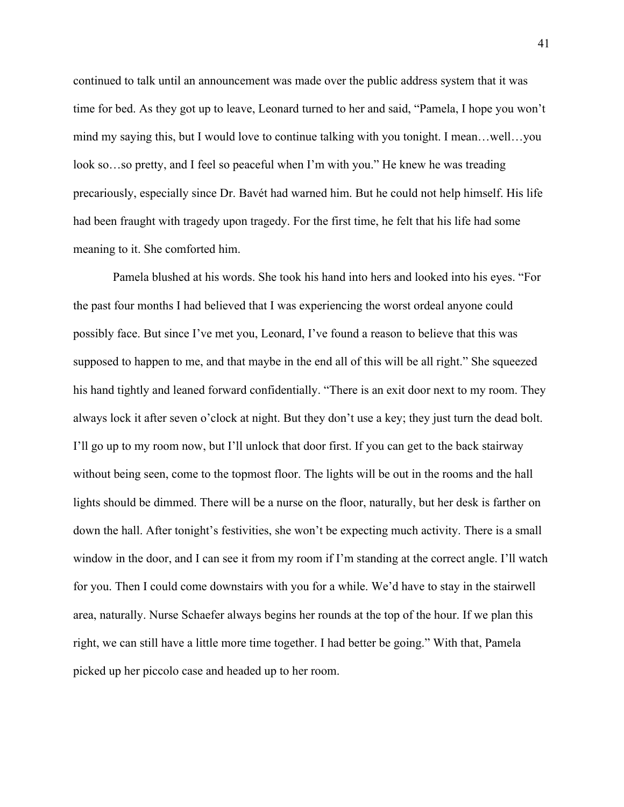continued to talk until an announcement was made over the public address system that it was time for bed. As they got up to leave, Leonard turned to her and said, "Pamela, I hope you won't mind my saying this, but I would love to continue talking with you tonight. I mean…well…you look so…so pretty, and I feel so peaceful when I'm with you." He knew he was treading precariously, especially since Dr. Bavét had warned him. But he could not help himself. His life had been fraught with tragedy upon tragedy. For the first time, he felt that his life had some meaning to it. She comforted him.

Pamela blushed at his words. She took his hand into hers and looked into his eyes. "For the past four months I had believed that I was experiencing the worst ordeal anyone could possibly face. But since I've met you, Leonard, I've found a reason to believe that this was supposed to happen to me, and that maybe in the end all of this will be all right." She squeezed his hand tightly and leaned forward confidentially. "There is an exit door next to my room. They always lock it after seven o'clock at night. But they don't use a key; they just turn the dead bolt. I'll go up to my room now, but I'll unlock that door first. If you can get to the back stairway without being seen, come to the topmost floor. The lights will be out in the rooms and the hall lights should be dimmed. There will be a nurse on the floor, naturally, but her desk is farther on down the hall. After tonight's festivities, she won't be expecting much activity. There is a small window in the door, and I can see it from my room if I'm standing at the correct angle. I'll watch for you. Then I could come downstairs with you for a while. We'd have to stay in the stairwell area, naturally. Nurse Schaefer always begins her rounds at the top of the hour. If we plan this right, we can still have a little more time together. I had better be going." With that, Pamela picked up her piccolo case and headed up to her room.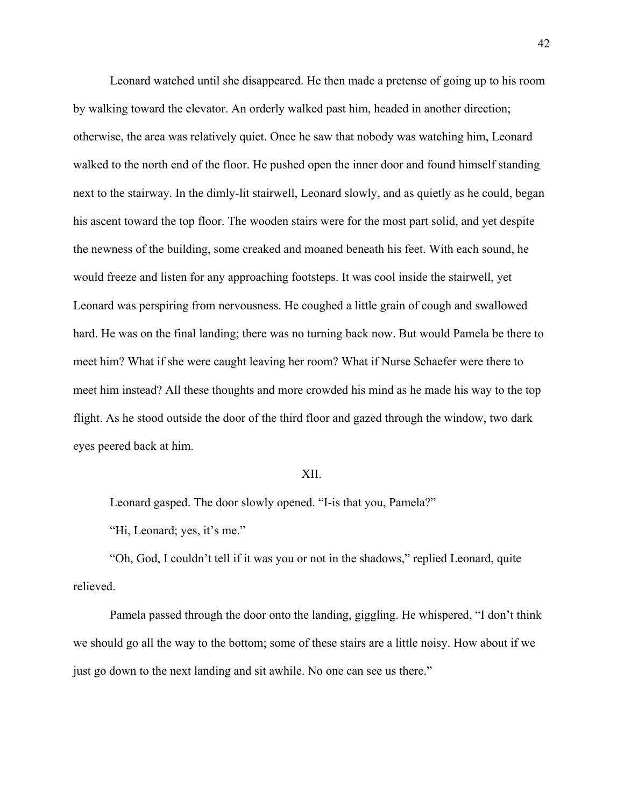Leonard watched until she disappeared. He then made a pretense of going up to his room by walking toward the elevator. An orderly walked past him, headed in another direction; otherwise, the area was relatively quiet. Once he saw that nobody was watching him, Leonard walked to the north end of the floor. He pushed open the inner door and found himself standing next to the stairway. In the dimly-lit stairwell, Leonard slowly, and as quietly as he could, began his ascent toward the top floor. The wooden stairs were for the most part solid, and yet despite the newness of the building, some creaked and moaned beneath his feet. With each sound, he would freeze and listen for any approaching footsteps. It was cool inside the stairwell, yet Leonard was perspiring from nervousness. He coughed a little grain of cough and swallowed hard. He was on the final landing; there was no turning back now. But would Pamela be there to meet him? What if she were caught leaving her room? What if Nurse Schaefer were there to meet him instead? All these thoughts and more crowded his mind as he made his way to the top flight. As he stood outside the door of the third floor and gazed through the window, two dark eyes peered back at him.

### XII.

Leonard gasped. The door slowly opened. "I-is that you, Pamela?"

"Hi, Leonard; yes, it's me."

"Oh, God, I couldn't tell if it was you or not in the shadows," replied Leonard, quite relieved.

Pamela passed through the door onto the landing, giggling. He whispered, "I don't think we should go all the way to the bottom; some of these stairs are a little noisy. How about if we just go down to the next landing and sit awhile. No one can see us there."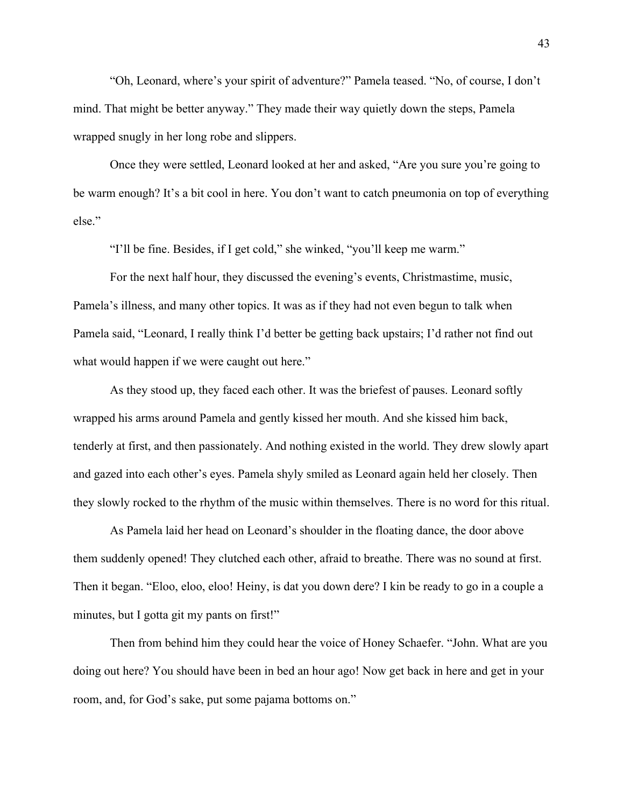"Oh, Leonard, where's your spirit of adventure?" Pamela teased. "No, of course, I don't mind. That might be better anyway." They made their way quietly down the steps, Pamela wrapped snugly in her long robe and slippers.

Once they were settled, Leonard looked at her and asked, "Are you sure you're going to be warm enough? It's a bit cool in here. You don't want to catch pneumonia on top of everything else."

"I'll be fine. Besides, if I get cold," she winked, "you'll keep me warm."

For the next half hour, they discussed the evening's events, Christmastime, music, Pamela's illness, and many other topics. It was as if they had not even begun to talk when Pamela said, "Leonard, I really think I'd better be getting back upstairs; I'd rather not find out what would happen if we were caught out here."

As they stood up, they faced each other. It was the briefest of pauses. Leonard softly wrapped his arms around Pamela and gently kissed her mouth. And she kissed him back, tenderly at first, and then passionately. And nothing existed in the world. They drew slowly apart and gazed into each other's eyes. Pamela shyly smiled as Leonard again held her closely. Then they slowly rocked to the rhythm of the music within themselves. There is no word for this ritual.

As Pamela laid her head on Leonard's shoulder in the floating dance, the door above them suddenly opened! They clutched each other, afraid to breathe. There was no sound at first. Then it began. "Eloo, eloo, eloo! Heiny, is dat you down dere? I kin be ready to go in a couple a minutes, but I gotta git my pants on first!"

Then from behind him they could hear the voice of Honey Schaefer. "John. What are you doing out here? You should have been in bed an hour ago! Now get back in here and get in your room, and, for God's sake, put some pajama bottoms on."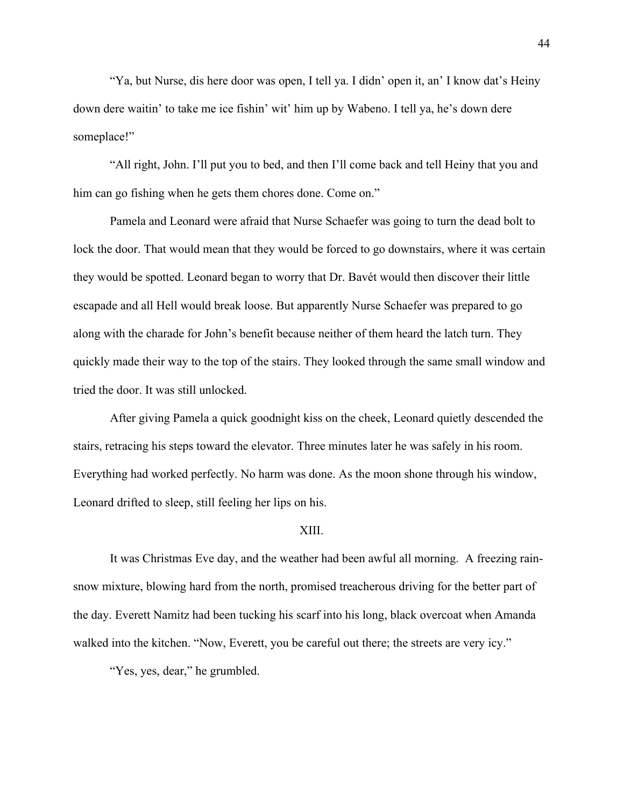"Ya, but Nurse, dis here door was open, I tell ya. I didn' open it, an' I know dat's Heiny down dere waitin' to take me ice fishin' wit' him up by Wabeno. I tell ya, he's down dere someplace!"

"All right, John. I'll put you to bed, and then I'll come back and tell Heiny that you and him can go fishing when he gets them chores done. Come on."

Pamela and Leonard were afraid that Nurse Schaefer was going to turn the dead bolt to lock the door. That would mean that they would be forced to go downstairs, where it was certain they would be spotted. Leonard began to worry that Dr. Bavét would then discover their little escapade and all Hell would break loose. But apparently Nurse Schaefer was prepared to go along with the charade for John's benefit because neither of them heard the latch turn. They quickly made their way to the top of the stairs. They looked through the same small window and tried the door. It was still unlocked.

After giving Pamela a quick goodnight kiss on the cheek, Leonard quietly descended the stairs, retracing his steps toward the elevator. Three minutes later he was safely in his room. Everything had worked perfectly. No harm was done. As the moon shone through his window, Leonard drifted to sleep, still feeling her lips on his.

### XIII.

It was Christmas Eve day, and the weather had been awful all morning. A freezing rainsnow mixture, blowing hard from the north, promised treacherous driving for the better part of the day. Everett Namitz had been tucking his scarf into his long, black overcoat when Amanda walked into the kitchen. "Now, Everett, you be careful out there; the streets are very icy."

"Yes, yes, dear," he grumbled.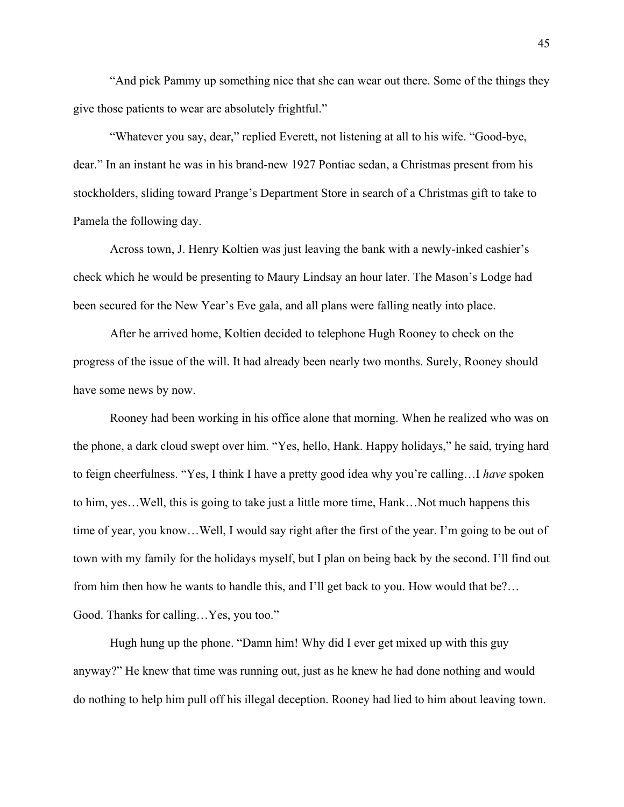"And pick Pammy up something nice that she can wear out there. Some of the things they give those patients to wear are absolutely frightful."

"Whatever you say, dear," replied Everett, not listening at all to his wife. "Good-bye, dear." In an instant he was in his brand-new 1927 Pontiac sedan, a Christmas present from his stockholders, sliding toward Prange's Department Store in search of a Christmas gift to take to Pamela the following day.

Across town, J. Henry Koltien was just leaving the bank with a newly-inked cashier's check which he would be presenting to Maury Lindsay an hour later. The Mason's Lodge had been secured for the New Year's Eve gala, and all plans were falling neatly into place.

After he arrived home, Koltien decided to telephone Hugh Rooney to check on the progress of the issue of the will. It had already been nearly two months. Surely, Rooney should have some news by now.

Rooney had been working in his office alone that morning. When he realized who was on the phone, a dark cloud swept over him. "Yes, hello, Hank. Happy holidays," he said, trying hard to feign cheerfulness. "Yes, I think I have a pretty good idea why you're calling…I *have* spoken to him, yes…Well, this is going to take just a little more time, Hank…Not much happens this time of year, you know…Well, I would say right after the first of the year. I'm going to be out of town with my family for the holidays myself, but I plan on being back by the second. I'll find out from him then how he wants to handle this, and I'll get back to you. How would that be?… Good. Thanks for calling…Yes, you too."

Hugh hung up the phone. "Damn him! Why did I ever get mixed up with this guy anyway?" He knew that time was running out, just as he knew he had done nothing and would do nothing to help him pull off his illegal deception. Rooney had lied to him about leaving town.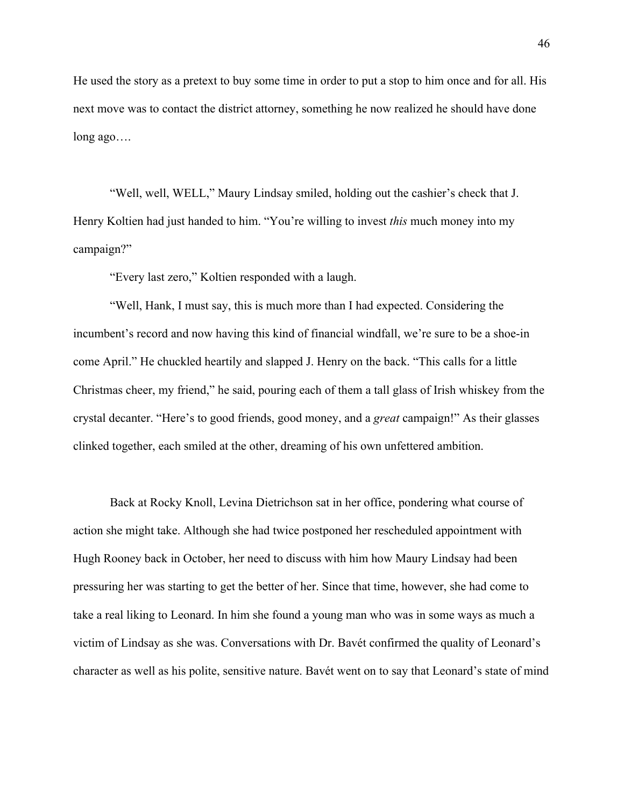He used the story as a pretext to buy some time in order to put a stop to him once and for all. His next move was to contact the district attorney, something he now realized he should have done long ago….

"Well, well, WELL," Maury Lindsay smiled, holding out the cashier's check that J. Henry Koltien had just handed to him. "You're willing to invest *this* much money into my campaign?"

"Every last zero," Koltien responded with a laugh.

"Well, Hank, I must say, this is much more than I had expected. Considering the incumbent's record and now having this kind of financial windfall, we're sure to be a shoe-in come April." He chuckled heartily and slapped J. Henry on the back. "This calls for a little Christmas cheer, my friend," he said, pouring each of them a tall glass of Irish whiskey from the crystal decanter. "Here's to good friends, good money, and a *great* campaign!" As their glasses clinked together, each smiled at the other, dreaming of his own unfettered ambition.

Back at Rocky Knoll, Levina Dietrichson sat in her office, pondering what course of action she might take. Although she had twice postponed her rescheduled appointment with Hugh Rooney back in October, her need to discuss with him how Maury Lindsay had been pressuring her was starting to get the better of her. Since that time, however, she had come to take a real liking to Leonard. In him she found a young man who was in some ways as much a victim of Lindsay as she was. Conversations with Dr. Bavét confirmed the quality of Leonard's character as well as his polite, sensitive nature. Bavét went on to say that Leonard's state of mind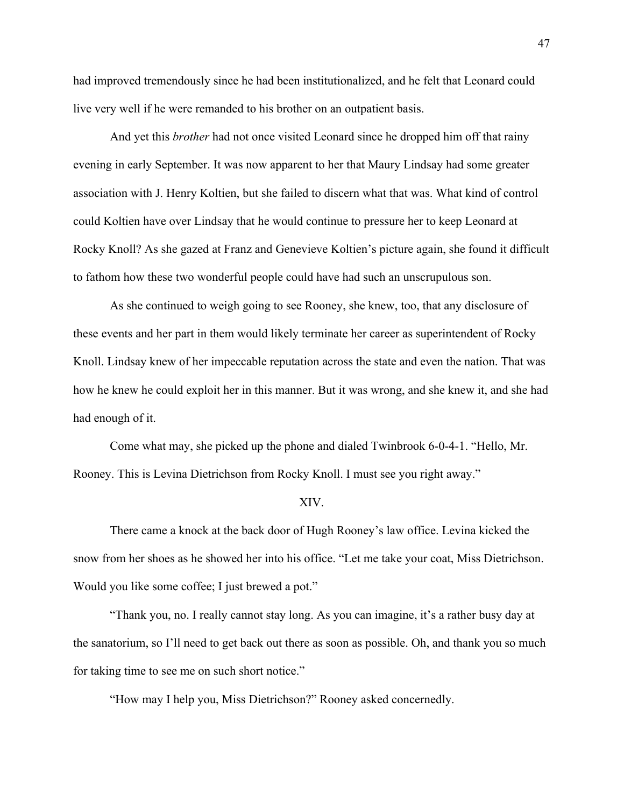had improved tremendously since he had been institutionalized, and he felt that Leonard could live very well if he were remanded to his brother on an outpatient basis.

And yet this *brother* had not once visited Leonard since he dropped him off that rainy evening in early September. It was now apparent to her that Maury Lindsay had some greater association with J. Henry Koltien, but she failed to discern what that was. What kind of control could Koltien have over Lindsay that he would continue to pressure her to keep Leonard at Rocky Knoll? As she gazed at Franz and Genevieve Koltien's picture again, she found it difficult to fathom how these two wonderful people could have had such an unscrupulous son.

As she continued to weigh going to see Rooney, she knew, too, that any disclosure of these events and her part in them would likely terminate her career as superintendent of Rocky Knoll. Lindsay knew of her impeccable reputation across the state and even the nation. That was how he knew he could exploit her in this manner. But it was wrong, and she knew it, and she had had enough of it.

Come what may, she picked up the phone and dialed Twinbrook 6-0-4-1. "Hello, Mr. Rooney. This is Levina Dietrichson from Rocky Knoll. I must see you right away."

### XIV.

There came a knock at the back door of Hugh Rooney's law office. Levina kicked the snow from her shoes as he showed her into his office. "Let me take your coat, Miss Dietrichson. Would you like some coffee; I just brewed a pot."

"Thank you, no. I really cannot stay long. As you can imagine, it's a rather busy day at the sanatorium, so I'll need to get back out there as soon as possible. Oh, and thank you so much for taking time to see me on such short notice."

"How may I help you, Miss Dietrichson?" Rooney asked concernedly.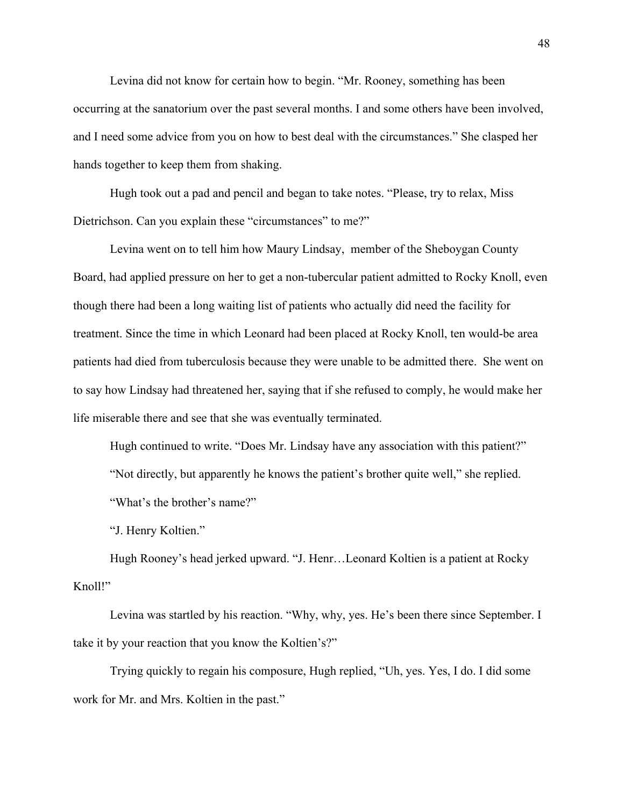Levina did not know for certain how to begin. "Mr. Rooney, something has been occurring at the sanatorium over the past several months. I and some others have been involved, and I need some advice from you on how to best deal with the circumstances." She clasped her hands together to keep them from shaking.

Hugh took out a pad and pencil and began to take notes. "Please, try to relax, Miss Dietrichson. Can you explain these "circumstances" to me?"

Levina went on to tell him how Maury Lindsay, member of the Sheboygan County Board, had applied pressure on her to get a non-tubercular patient admitted to Rocky Knoll, even though there had been a long waiting list of patients who actually did need the facility for treatment. Since the time in which Leonard had been placed at Rocky Knoll, ten would-be area patients had died from tuberculosis because they were unable to be admitted there. She went on to say how Lindsay had threatened her, saying that if she refused to comply, he would make her life miserable there and see that she was eventually terminated.

Hugh continued to write. "Does Mr. Lindsay have any association with this patient?" "Not directly, but apparently he knows the patient's brother quite well," she replied. "What's the brother's name?"

"J. Henry Koltien."

Hugh Rooney's head jerked upward. "J. Henr…Leonard Koltien is a patient at Rocky Knoll!"

Levina was startled by his reaction. "Why, why, yes. He's been there since September. I take it by your reaction that you know the Koltien's?"

Trying quickly to regain his composure, Hugh replied, "Uh, yes. Yes, I do. I did some work for Mr. and Mrs. Koltien in the past."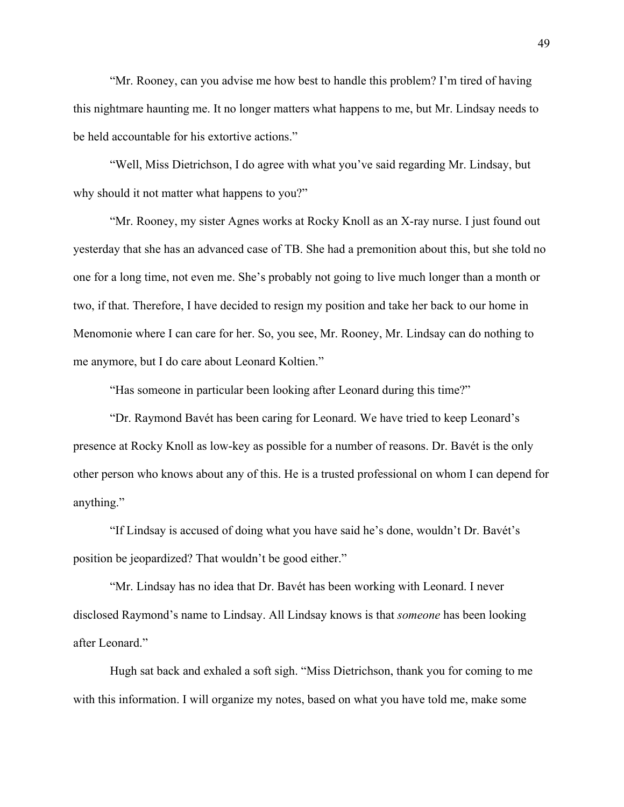"Mr. Rooney, can you advise me how best to handle this problem? I'm tired of having this nightmare haunting me. It no longer matters what happens to me, but Mr. Lindsay needs to be held accountable for his extortive actions."

"Well, Miss Dietrichson, I do agree with what you've said regarding Mr. Lindsay, but why should it not matter what happens to you?"

"Mr. Rooney, my sister Agnes works at Rocky Knoll as an X-ray nurse. I just found out yesterday that she has an advanced case of TB. She had a premonition about this, but she told no one for a long time, not even me. She's probably not going to live much longer than a month or two, if that. Therefore, I have decided to resign my position and take her back to our home in Menomonie where I can care for her. So, you see, Mr. Rooney, Mr. Lindsay can do nothing to me anymore, but I do care about Leonard Koltien."

"Has someone in particular been looking after Leonard during this time?"

"Dr. Raymond Bavét has been caring for Leonard. We have tried to keep Leonard's presence at Rocky Knoll as low-key as possible for a number of reasons. Dr. Bavét is the only other person who knows about any of this. He is a trusted professional on whom I can depend for anything."

"If Lindsay is accused of doing what you have said he's done, wouldn't Dr. Bavét's position be jeopardized? That wouldn't be good either."

"Mr. Lindsay has no idea that Dr. Bavét has been working with Leonard. I never disclosed Raymond's name to Lindsay. All Lindsay knows is that *someone* has been looking after Leonard."

Hugh sat back and exhaled a soft sigh. "Miss Dietrichson, thank you for coming to me with this information. I will organize my notes, based on what you have told me, make some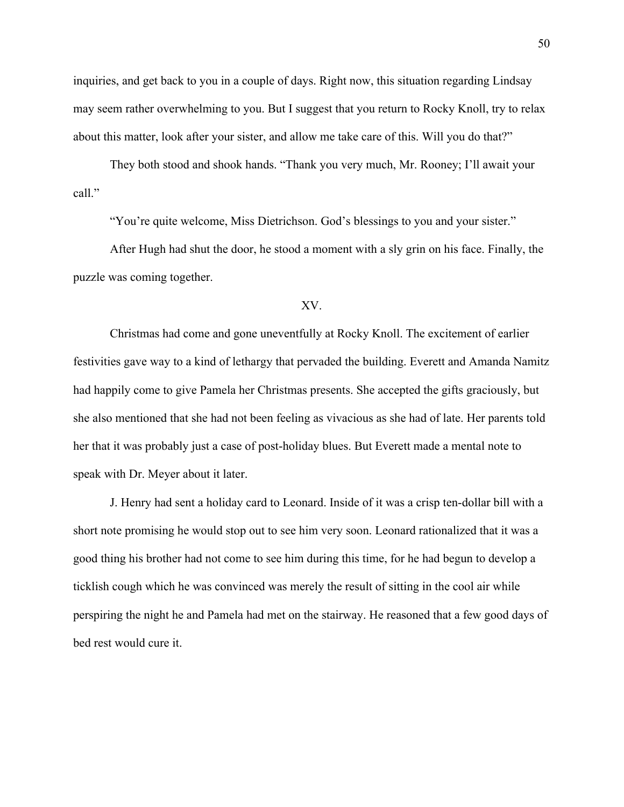inquiries, and get back to you in a couple of days. Right now, this situation regarding Lindsay may seem rather overwhelming to you. But I suggest that you return to Rocky Knoll, try to relax about this matter, look after your sister, and allow me take care of this. Will you do that?"

They both stood and shook hands. "Thank you very much, Mr. Rooney; I'll await your call."

"You're quite welcome, Miss Dietrichson. God's blessings to you and your sister."

After Hugh had shut the door, he stood a moment with a sly grin on his face. Finally, the puzzle was coming together.

# XV.

Christmas had come and gone uneventfully at Rocky Knoll. The excitement of earlier festivities gave way to a kind of lethargy that pervaded the building. Everett and Amanda Namitz had happily come to give Pamela her Christmas presents. She accepted the gifts graciously, but she also mentioned that she had not been feeling as vivacious as she had of late. Her parents told her that it was probably just a case of post-holiday blues. But Everett made a mental note to speak with Dr. Meyer about it later.

J. Henry had sent a holiday card to Leonard. Inside of it was a crisp ten-dollar bill with a short note promising he would stop out to see him very soon. Leonard rationalized that it was a good thing his brother had not come to see him during this time, for he had begun to develop a ticklish cough which he was convinced was merely the result of sitting in the cool air while perspiring the night he and Pamela had met on the stairway. He reasoned that a few good days of bed rest would cure it.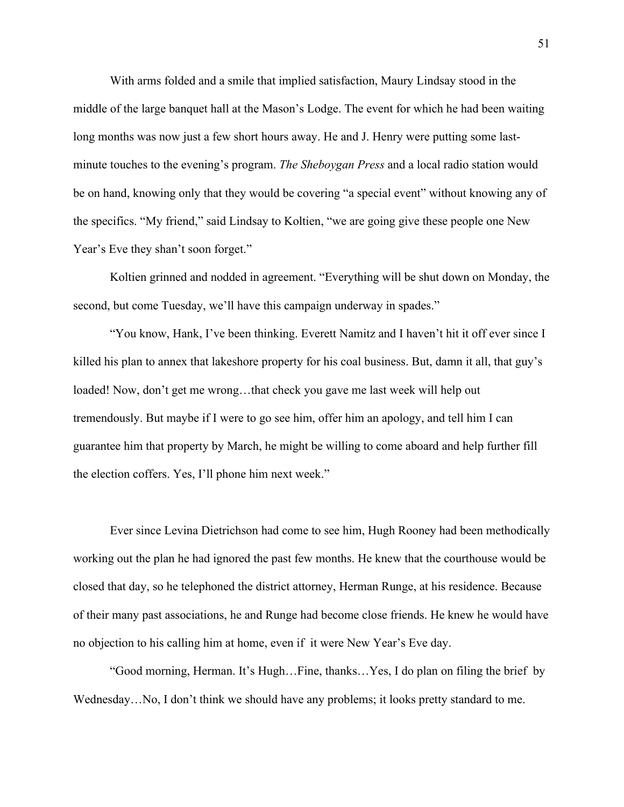With arms folded and a smile that implied satisfaction, Maury Lindsay stood in the middle of the large banquet hall at the Mason's Lodge. The event for which he had been waiting long months was now just a few short hours away. He and J. Henry were putting some lastminute touches to the evening's program. *The Sheboygan Press* and a local radio station would be on hand, knowing only that they would be covering "a special event" without knowing any of the specifics. "My friend," said Lindsay to Koltien, "we are going give these people one New Year's Eve they shan't soon forget."

Koltien grinned and nodded in agreement. "Everything will be shut down on Monday, the second, but come Tuesday, we'll have this campaign underway in spades."

"You know, Hank, I've been thinking. Everett Namitz and I haven't hit it off ever since I killed his plan to annex that lakeshore property for his coal business. But, damn it all, that guy's loaded! Now, don't get me wrong…that check you gave me last week will help out tremendously. But maybe if I were to go see him, offer him an apology, and tell him I can guarantee him that property by March, he might be willing to come aboard and help further fill the election coffers. Yes, I'll phone him next week."

Ever since Levina Dietrichson had come to see him, Hugh Rooney had been methodically working out the plan he had ignored the past few months. He knew that the courthouse would be closed that day, so he telephoned the district attorney, Herman Runge, at his residence. Because of their many past associations, he and Runge had become close friends. He knew he would have no objection to his calling him at home, even if it were New Year's Eve day.

"Good morning, Herman. It's Hugh…Fine, thanks…Yes, I do plan on filing the brief by Wednesday…No, I don't think we should have any problems; it looks pretty standard to me.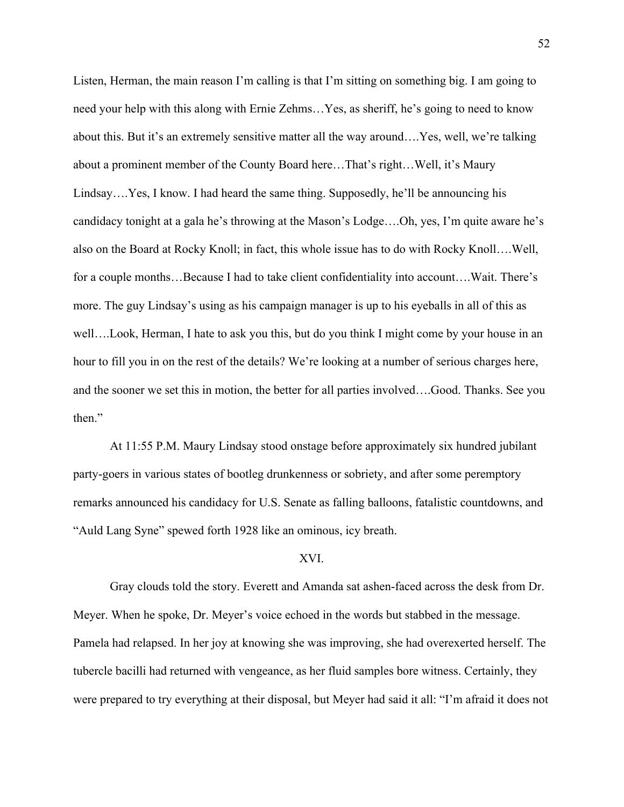Listen, Herman, the main reason I'm calling is that I'm sitting on something big. I am going to need your help with this along with Ernie Zehms…Yes, as sheriff, he's going to need to know about this. But it's an extremely sensitive matter all the way around….Yes, well, we're talking about a prominent member of the County Board here…That's right…Well, it's Maury Lindsay….Yes, I know. I had heard the same thing. Supposedly, he'll be announcing his candidacy tonight at a gala he's throwing at the Mason's Lodge….Oh, yes, I'm quite aware he's also on the Board at Rocky Knoll; in fact, this whole issue has to do with Rocky Knoll….Well, for a couple months...Because I had to take client confidentiality into account....Wait. There's more. The guy Lindsay's using as his campaign manager is up to his eyeballs in all of this as well….Look, Herman, I hate to ask you this, but do you think I might come by your house in an hour to fill you in on the rest of the details? We're looking at a number of serious charges here, and the sooner we set this in motion, the better for all parties involved….Good. Thanks. See you then."

At 11:55 P.M. Maury Lindsay stood onstage before approximately six hundred jubilant party-goers in various states of bootleg drunkenness or sobriety, and after some peremptory remarks announced his candidacy for U.S. Senate as falling balloons, fatalistic countdowns, and "Auld Lang Syne" spewed forth 1928 like an ominous, icy breath.

## XVI.

Gray clouds told the story. Everett and Amanda sat ashen-faced across the desk from Dr. Meyer. When he spoke, Dr. Meyer's voice echoed in the words but stabbed in the message. Pamela had relapsed. In her joy at knowing she was improving, she had overexerted herself. The tubercle bacilli had returned with vengeance, as her fluid samples bore witness. Certainly, they were prepared to try everything at their disposal, but Meyer had said it all: "I'm afraid it does not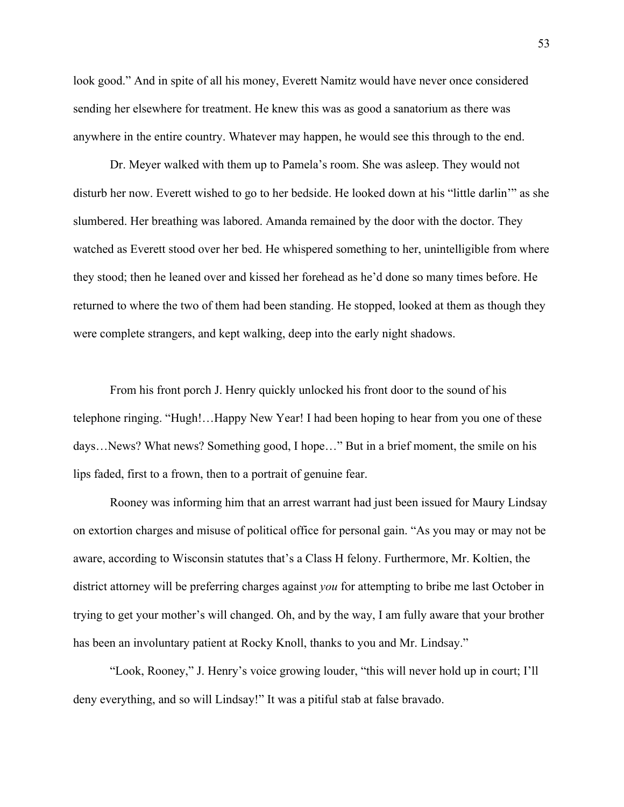look good." And in spite of all his money, Everett Namitz would have never once considered sending her elsewhere for treatment. He knew this was as good a sanatorium as there was anywhere in the entire country. Whatever may happen, he would see this through to the end.

Dr. Meyer walked with them up to Pamela's room. She was asleep. They would not disturb her now. Everett wished to go to her bedside. He looked down at his "little darlin'" as she slumbered. Her breathing was labored. Amanda remained by the door with the doctor. They watched as Everett stood over her bed. He whispered something to her, unintelligible from where they stood; then he leaned over and kissed her forehead as he'd done so many times before. He returned to where the two of them had been standing. He stopped, looked at them as though they were complete strangers, and kept walking, deep into the early night shadows.

From his front porch J. Henry quickly unlocked his front door to the sound of his telephone ringing. "Hugh!…Happy New Year! I had been hoping to hear from you one of these days…News? What news? Something good, I hope…" But in a brief moment, the smile on his lips faded, first to a frown, then to a portrait of genuine fear.

Rooney was informing him that an arrest warrant had just been issued for Maury Lindsay on extortion charges and misuse of political office for personal gain. "As you may or may not be aware, according to Wisconsin statutes that's a Class H felony. Furthermore, Mr. Koltien, the district attorney will be preferring charges against *you* for attempting to bribe me last October in trying to get your mother's will changed. Oh, and by the way, I am fully aware that your brother has been an involuntary patient at Rocky Knoll, thanks to you and Mr. Lindsay."

"Look, Rooney," J. Henry's voice growing louder, "this will never hold up in court; I'll deny everything, and so will Lindsay!" It was a pitiful stab at false bravado.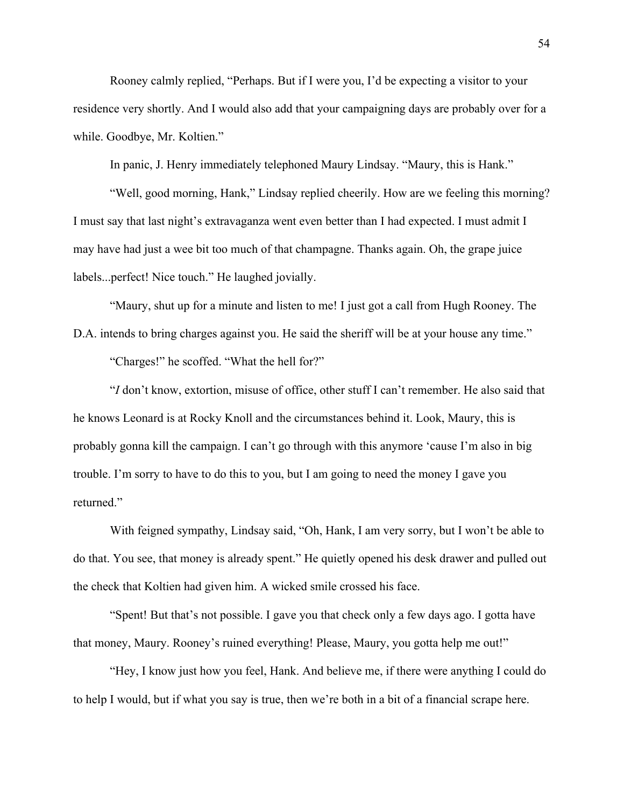Rooney calmly replied, "Perhaps. But if I were you, I'd be expecting a visitor to your residence very shortly. And I would also add that your campaigning days are probably over for a while. Goodbye, Mr. Koltien."

In panic, J. Henry immediately telephoned Maury Lindsay. "Maury, this is Hank."

"Well, good morning, Hank," Lindsay replied cheerily. How are we feeling this morning? I must say that last night's extravaganza went even better than I had expected. I must admit I may have had just a wee bit too much of that champagne. Thanks again. Oh, the grape juice labels...perfect! Nice touch." He laughed jovially.

"Maury, shut up for a minute and listen to me! I just got a call from Hugh Rooney. The D.A. intends to bring charges against you. He said the sheriff will be at your house any time."

"Charges!" he scoffed. "What the hell for?"

"*I* don't know, extortion, misuse of office, other stuff I can't remember. He also said that he knows Leonard is at Rocky Knoll and the circumstances behind it. Look, Maury, this is probably gonna kill the campaign. I can't go through with this anymore 'cause I'm also in big trouble. I'm sorry to have to do this to you, but I am going to need the money I gave you returned."

With feigned sympathy, Lindsay said, "Oh, Hank, I am very sorry, but I won't be able to do that. You see, that money is already spent." He quietly opened his desk drawer and pulled out the check that Koltien had given him. A wicked smile crossed his face.

"Spent! But that's not possible. I gave you that check only a few days ago. I gotta have that money, Maury. Rooney's ruined everything! Please, Maury, you gotta help me out!"

"Hey, I know just how you feel, Hank. And believe me, if there were anything I could do to help I would, but if what you say is true, then we're both in a bit of a financial scrape here.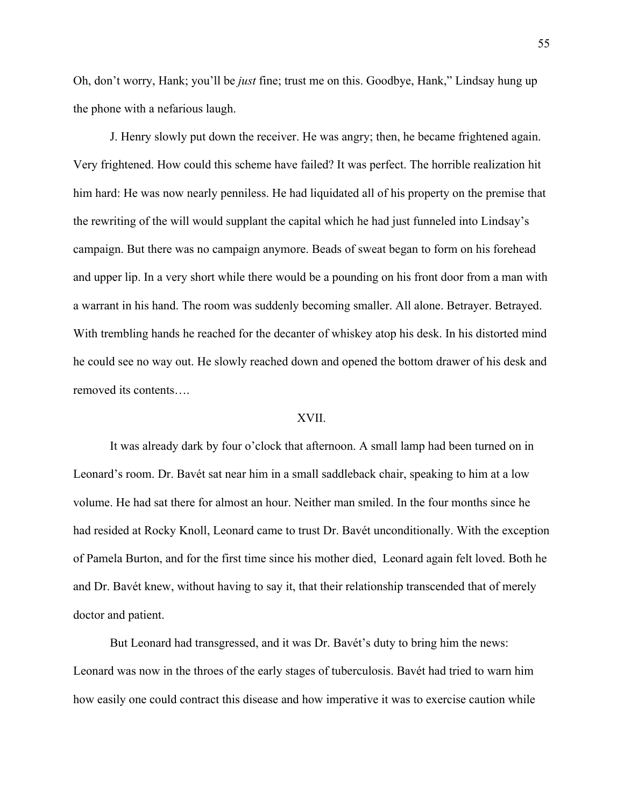Oh, don't worry, Hank; you'll be *just* fine; trust me on this. Goodbye, Hank," Lindsay hung up the phone with a nefarious laugh.

J. Henry slowly put down the receiver. He was angry; then, he became frightened again. Very frightened. How could this scheme have failed? It was perfect. The horrible realization hit him hard: He was now nearly penniless. He had liquidated all of his property on the premise that the rewriting of the will would supplant the capital which he had just funneled into Lindsay's campaign. But there was no campaign anymore. Beads of sweat began to form on his forehead and upper lip. In a very short while there would be a pounding on his front door from a man with a warrant in his hand. The room was suddenly becoming smaller. All alone. Betrayer. Betrayed. With trembling hands he reached for the decanter of whiskey atop his desk. In his distorted mind he could see no way out. He slowly reached down and opened the bottom drawer of his desk and removed its contents….

## XVII.

It was already dark by four o'clock that afternoon. A small lamp had been turned on in Leonard's room. Dr. Bavét sat near him in a small saddleback chair, speaking to him at a low volume. He had sat there for almost an hour. Neither man smiled. In the four months since he had resided at Rocky Knoll, Leonard came to trust Dr. Bavét unconditionally. With the exception of Pamela Burton, and for the first time since his mother died, Leonard again felt loved. Both he and Dr. Bavét knew, without having to say it, that their relationship transcended that of merely doctor and patient.

But Leonard had transgressed, and it was Dr. Bavét's duty to bring him the news: Leonard was now in the throes of the early stages of tuberculosis. Bavét had tried to warn him how easily one could contract this disease and how imperative it was to exercise caution while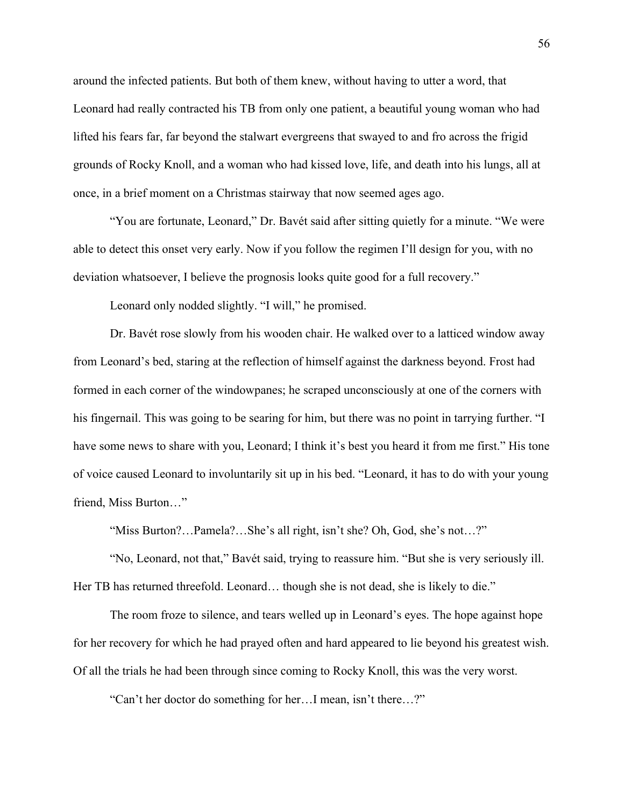around the infected patients. But both of them knew, without having to utter a word, that Leonard had really contracted his TB from only one patient, a beautiful young woman who had lifted his fears far, far beyond the stalwart evergreens that swayed to and fro across the frigid grounds of Rocky Knoll, and a woman who had kissed love, life, and death into his lungs, all at once, in a brief moment on a Christmas stairway that now seemed ages ago.

"You are fortunate, Leonard," Dr. Bavét said after sitting quietly for a minute. "We were able to detect this onset very early. Now if you follow the regimen I'll design for you, with no deviation whatsoever, I believe the prognosis looks quite good for a full recovery."

Leonard only nodded slightly. "I will," he promised.

Dr. Bavét rose slowly from his wooden chair. He walked over to a latticed window away from Leonard's bed, staring at the reflection of himself against the darkness beyond. Frost had formed in each corner of the windowpanes; he scraped unconsciously at one of the corners with his fingernail. This was going to be searing for him, but there was no point in tarrying further. "I have some news to share with you, Leonard; I think it's best you heard it from me first." His tone of voice caused Leonard to involuntarily sit up in his bed. "Leonard, it has to do with your young friend, Miss Burton…"

"Miss Burton?…Pamela?…She's all right, isn't she? Oh, God, she's not…?"

"No, Leonard, not that," Bavét said, trying to reassure him. "But she is very seriously ill. Her TB has returned threefold. Leonard... though she is not dead, she is likely to die."

The room froze to silence, and tears welled up in Leonard's eyes. The hope against hope for her recovery for which he had prayed often and hard appeared to lie beyond his greatest wish. Of all the trials he had been through since coming to Rocky Knoll, this was the very worst.

"Can't her doctor do something for her…I mean, isn't there…?"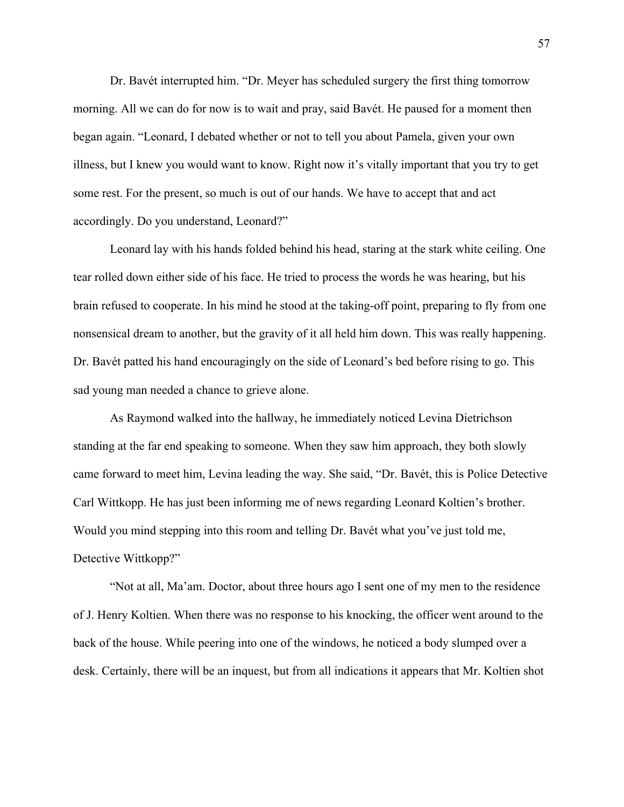Dr. Bavét interrupted him. "Dr. Meyer has scheduled surgery the first thing tomorrow morning. All we can do for now is to wait and pray, said Bavét. He paused for a moment then began again. "Leonard, I debated whether or not to tell you about Pamela, given your own illness, but I knew you would want to know. Right now it's vitally important that you try to get some rest. For the present, so much is out of our hands. We have to accept that and act accordingly. Do you understand, Leonard?"

Leonard lay with his hands folded behind his head, staring at the stark white ceiling. One tear rolled down either side of his face. He tried to process the words he was hearing, but his brain refused to cooperate. In his mind he stood at the taking-off point, preparing to fly from one nonsensical dream to another, but the gravity of it all held him down. This was really happening. Dr. Bavét patted his hand encouragingly on the side of Leonard's bed before rising to go. This sad young man needed a chance to grieve alone.

As Raymond walked into the hallway, he immediately noticed Levina Dietrichson standing at the far end speaking to someone. When they saw him approach, they both slowly came forward to meet him, Levina leading the way. She said, "Dr. Bavét, this is Police Detective Carl Wittkopp. He has just been informing me of news regarding Leonard Koltien's brother. Would you mind stepping into this room and telling Dr. Bavét what you've just told me, Detective Wittkopp?"

"Not at all, Ma'am. Doctor, about three hours ago I sent one of my men to the residence of J. Henry Koltien. When there was no response to his knocking, the officer went around to the back of the house. While peering into one of the windows, he noticed a body slumped over a desk. Certainly, there will be an inquest, but from all indications it appears that Mr. Koltien shot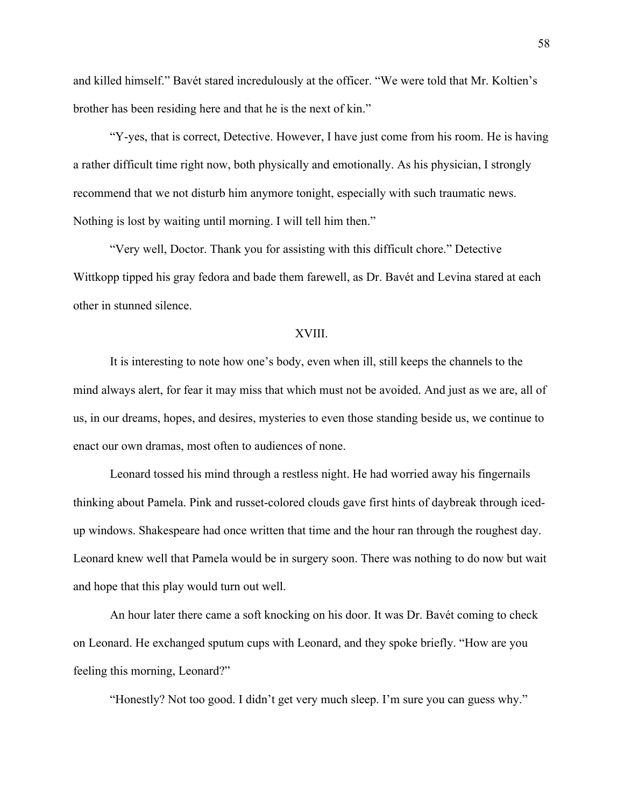and killed himself." Bavét stared incredulously at the officer. "We were told that Mr. Koltien's brother has been residing here and that he is the next of kin."

"Y-yes, that is correct, Detective. However, I have just come from his room. He is having a rather difficult time right now, both physically and emotionally. As his physician, I strongly recommend that we not disturb him anymore tonight, especially with such traumatic news. Nothing is lost by waiting until morning. I will tell him then."

"Very well, Doctor. Thank you for assisting with this difficult chore." Detective Wittkopp tipped his gray fedora and bade them farewell, as Dr. Bavét and Levina stared at each other in stunned silence.

# XVIII.

It is interesting to note how one's body, even when ill, still keeps the channels to the mind always alert, for fear it may miss that which must not be avoided. And just as we are, all of us, in our dreams, hopes, and desires, mysteries to even those standing beside us, we continue to enact our own dramas, most often to audiences of none.

Leonard tossed his mind through a restless night. He had worried away his fingernails thinking about Pamela. Pink and russet-colored clouds gave first hints of daybreak through icedup windows. Shakespeare had once written that time and the hour ran through the roughest day. Leonard knew well that Pamela would be in surgery soon. There was nothing to do now but wait and hope that this play would turn out well.

An hour later there came a soft knocking on his door. It was Dr. Bavét coming to check on Leonard. He exchanged sputum cups with Leonard, and they spoke briefly. "How are you feeling this morning, Leonard?"

"Honestly? Not too good. I didn't get very much sleep. I'm sure you can guess why."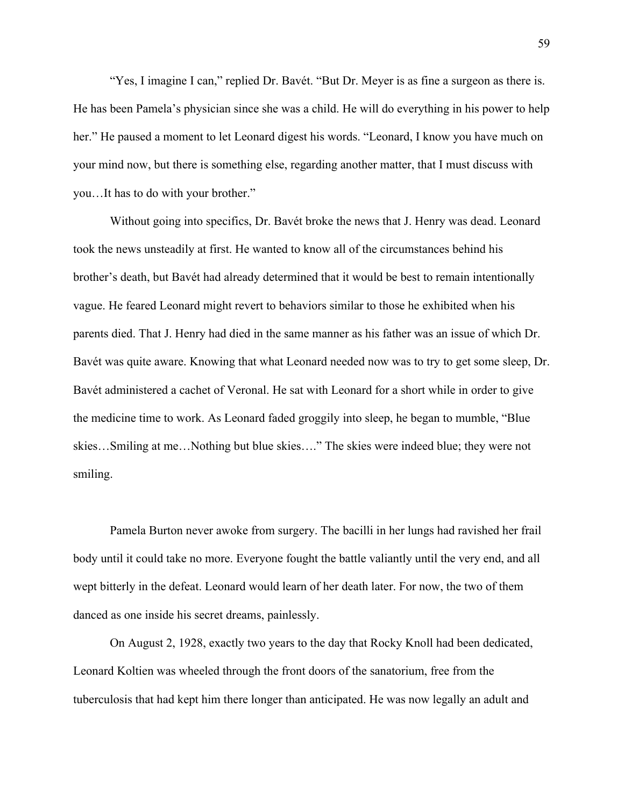"Yes, I imagine I can," replied Dr. Bavét. "But Dr. Meyer is as fine a surgeon as there is. He has been Pamela's physician since she was a child. He will do everything in his power to help her." He paused a moment to let Leonard digest his words. "Leonard, I know you have much on your mind now, but there is something else, regarding another matter, that I must discuss with you…It has to do with your brother."

Without going into specifics, Dr. Bavét broke the news that J. Henry was dead. Leonard took the news unsteadily at first. He wanted to know all of the circumstances behind his brother's death, but Bavét had already determined that it would be best to remain intentionally vague. He feared Leonard might revert to behaviors similar to those he exhibited when his parents died. That J. Henry had died in the same manner as his father was an issue of which Dr. Bavét was quite aware. Knowing that what Leonard needed now was to try to get some sleep, Dr. Bavét administered a cachet of Veronal. He sat with Leonard for a short while in order to give the medicine time to work. As Leonard faded groggily into sleep, he began to mumble, "Blue skies…Smiling at me…Nothing but blue skies…." The skies were indeed blue; they were not smiling.

Pamela Burton never awoke from surgery. The bacilli in her lungs had ravished her frail body until it could take no more. Everyone fought the battle valiantly until the very end, and all wept bitterly in the defeat. Leonard would learn of her death later. For now, the two of them danced as one inside his secret dreams, painlessly.

On August 2, 1928, exactly two years to the day that Rocky Knoll had been dedicated, Leonard Koltien was wheeled through the front doors of the sanatorium, free from the tuberculosis that had kept him there longer than anticipated. He was now legally an adult and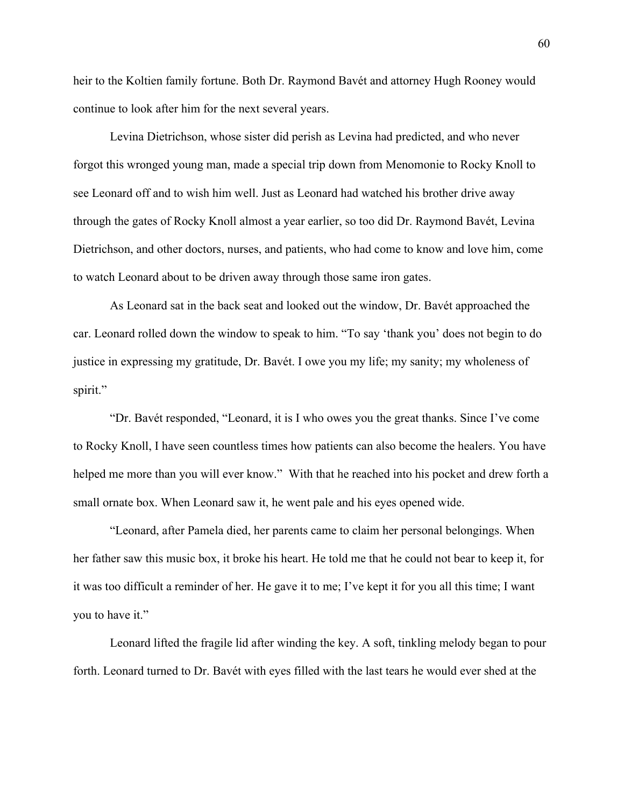heir to the Koltien family fortune. Both Dr. Raymond Bavét and attorney Hugh Rooney would continue to look after him for the next several years.

Levina Dietrichson, whose sister did perish as Levina had predicted, and who never forgot this wronged young man, made a special trip down from Menomonie to Rocky Knoll to see Leonard off and to wish him well. Just as Leonard had watched his brother drive away through the gates of Rocky Knoll almost a year earlier, so too did Dr. Raymond Bavét, Levina Dietrichson, and other doctors, nurses, and patients, who had come to know and love him, come to watch Leonard about to be driven away through those same iron gates.

As Leonard sat in the back seat and looked out the window, Dr. Bavét approached the car. Leonard rolled down the window to speak to him. "To say 'thank you' does not begin to do justice in expressing my gratitude, Dr. Bavét. I owe you my life; my sanity; my wholeness of spirit."

"Dr. Bavét responded, "Leonard, it is I who owes you the great thanks. Since I've come to Rocky Knoll, I have seen countless times how patients can also become the healers. You have helped me more than you will ever know." With that he reached into his pocket and drew forth a small ornate box. When Leonard saw it, he went pale and his eyes opened wide.

"Leonard, after Pamela died, her parents came to claim her personal belongings. When her father saw this music box, it broke his heart. He told me that he could not bear to keep it, for it was too difficult a reminder of her. He gave it to me; I've kept it for you all this time; I want you to have it."

Leonard lifted the fragile lid after winding the key. A soft, tinkling melody began to pour forth. Leonard turned to Dr. Bavét with eyes filled with the last tears he would ever shed at the